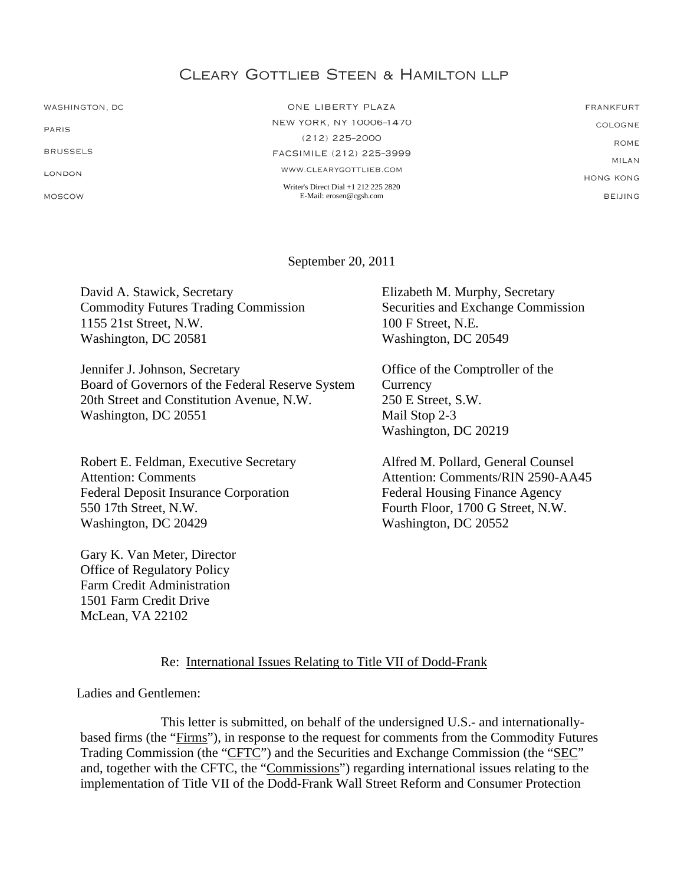# **CLEARY GOTTLIEB STEEN & HAMILTON LLP**

WASHINGTON, DC

PARIS

**BRUSSELS** 

LONDON

MOSCOW

ONE LIBERTY PLAZA NEW YORK, NY 10006-1470  $(212)$  225-2000 FACSIMILE (212) 225-3999 WWW.CLEARYGOTTLIEB.COM Writer's Direct Dial +1 212 225 2820 E-Mail: erosen@cgsh.com

**FRANKFURT** COLOGNE **ROME** MILAN **HONG KONG BELIING** 

September 20, 2011

David A. Stawick, Secretary Commodity Futures Trading Commission 1155 21st Street, N.W. Washington, DC 20581

Jennifer J. Johnson, Secretary Board of Governors of the Federal Reserve System 20th Street and Constitution Avenue, N.W. Washington, DC 20551

Robert E. Feldman, Executive Secretary Attention: Comments Federal Deposit Insurance Corporation 550 17th Street, N.W. Washington, DC 20429

Gary K. Van Meter, Director Office of Regulatory Policy Farm Credit Administration 1501 Farm Credit Drive McLean, VA 22102

Elizabeth M. Murphy, Secretary Securities and Exchange Commission 100 F Street, N.E. Washington, DC 20549

Office of the Comptroller of the **Currency** 250 E Street, S.W. Mail Stop 2-3 Washington, DC 20219

Alfred M. Pollard, General Counsel Attention: Comments/RIN 2590-AA45 Federal Housing Finance Agency Fourth Floor, 1700 G Street, N.W. Washington, DC 20552

Re: International Issues Relating to Title VII of Dodd-Frank

Ladies and Gentlemen:

This letter is submitted, on behalf of the undersigned U.S.- and internationallybased firms (the "Firms"), in response to the request for comments from the Commodity Futures Trading Commission (the "CFTC") and the Securities and Exchange Commission (the "SEC" and, together with the CFTC, the "Commissions") regarding international issues relating to the implementation of Title VII of the Dodd-Frank Wall Street Reform and Consumer Protection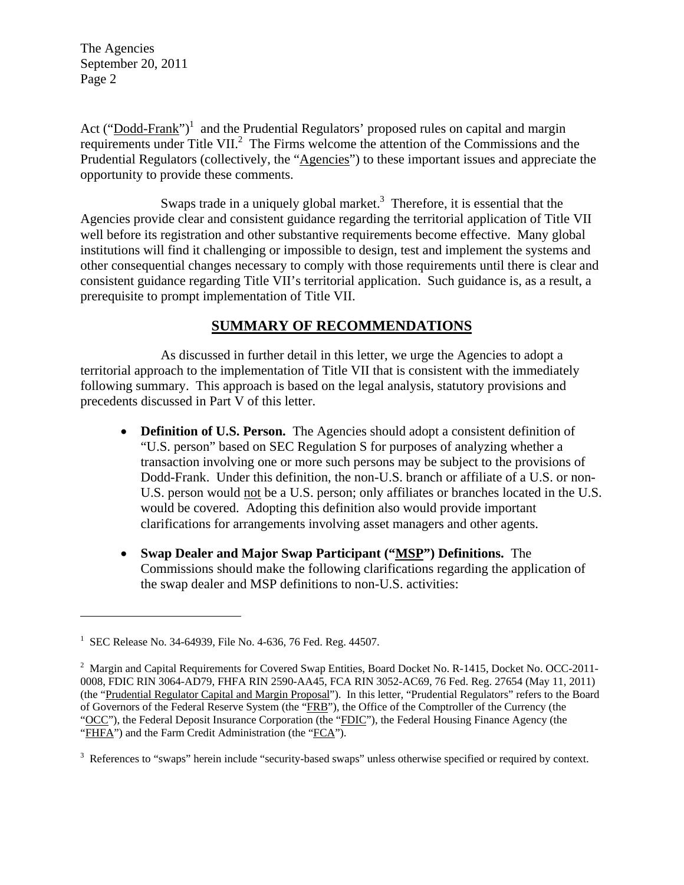Act  $("Dodd-Frank")^1$  and the Prudential Regulators' proposed rules on capital and margin requirements under Title VII.<sup>2</sup> The Firms welcome the attention of the Commissions and the Prudential Regulators (collectively, the "Agencies") to these important issues and appreciate the opportunity to provide these comments.

Swaps trade in a uniquely global market.<sup>3</sup> Therefore, it is essential that the Agencies provide clear and consistent guidance regarding the territorial application of Title VII well before its registration and other substantive requirements become effective. Many global institutions will find it challenging or impossible to design, test and implement the systems and other consequential changes necessary to comply with those requirements until there is clear and consistent guidance regarding Title VII's territorial application. Such guidance is, as a result, a prerequisite to prompt implementation of Title VII.

## **SUMMARY OF RECOMMENDATIONS**

 As discussed in further detail in this letter, we urge the Agencies to adopt a territorial approach to the implementation of Title VII that is consistent with the immediately following summary. This approach is based on the legal analysis, statutory provisions and precedents discussed in Part V of this letter.

- **Definition of U.S. Person.** The Agencies should adopt a consistent definition of "U.S. person" based on SEC Regulation S for purposes of analyzing whether a transaction involving one or more such persons may be subject to the provisions of Dodd-Frank. Under this definition, the non-U.S. branch or affiliate of a U.S. or non-U.S. person would not be a U.S. person; only affiliates or branches located in the U.S. would be covered. Adopting this definition also would provide important clarifications for arrangements involving asset managers and other agents.
- **Swap Dealer and Major Swap Participant ("MSP") Definitions.** The Commissions should make the following clarifications regarding the application of the swap dealer and MSP definitions to non-U.S. activities:

1

<sup>&</sup>lt;sup>1</sup> SEC Release No. 34-64939, File No. 4-636, 76 Fed. Reg. 44507.

<sup>&</sup>lt;sup>2</sup> Margin and Capital Requirements for Covered Swap Entities, Board Docket No. R-1415, Docket No. OCC-2011-0008, FDIC RIN 3064-AD79, FHFA RIN 2590-AA45, FCA RIN 3052-AC69, 76 Fed. Reg. 27654 (May 11, 2011) (the "Prudential Regulator Capital and Margin Proposal"). In this letter, "Prudential Regulators" refers to the Board of Governors of the Federal Reserve System (the "FRB"), the Office of the Comptroller of the Currency (the "OCC"), the Federal Deposit Insurance Corporation (the "FDIC"), the Federal Housing Finance Agency (the "FHFA") and the Farm Credit Administration (the "FCA").

 $3$  References to "swaps" herein include "security-based swaps" unless otherwise specified or required by context.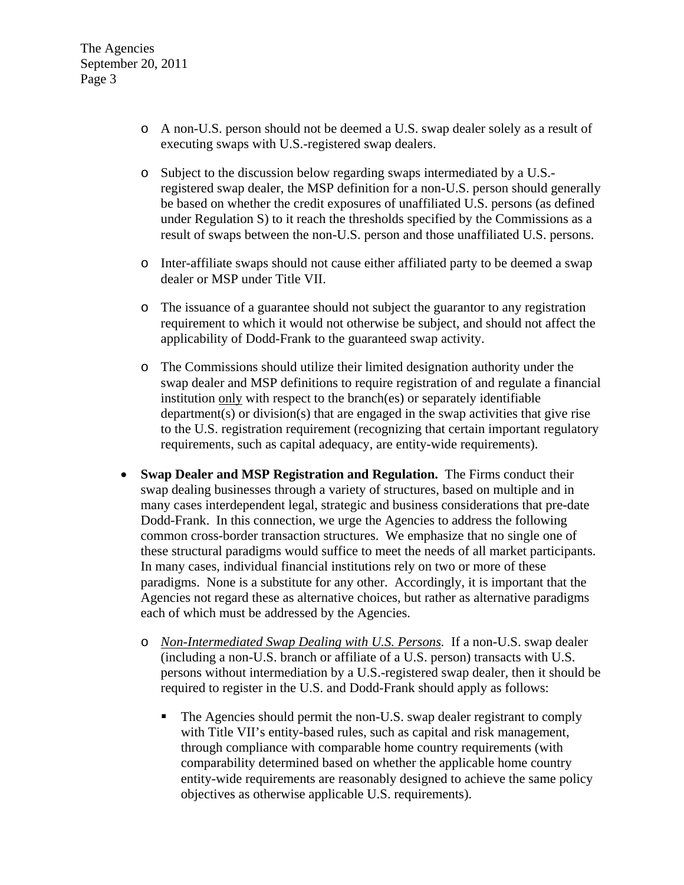- o A non-U.S. person should not be deemed a U.S. swap dealer solely as a result of executing swaps with U.S.-registered swap dealers.
- o Subject to the discussion below regarding swaps intermediated by a U.S. registered swap dealer, the MSP definition for a non-U.S. person should generally be based on whether the credit exposures of unaffiliated U.S. persons (as defined under Regulation S) to it reach the thresholds specified by the Commissions as a result of swaps between the non-U.S. person and those unaffiliated U.S. persons.
- o Inter-affiliate swaps should not cause either affiliated party to be deemed a swap dealer or MSP under Title VII.
- o The issuance of a guarantee should not subject the guarantor to any registration requirement to which it would not otherwise be subject, and should not affect the applicability of Dodd-Frank to the guaranteed swap activity.
- o The Commissions should utilize their limited designation authority under the swap dealer and MSP definitions to require registration of and regulate a financial institution only with respect to the branch(es) or separately identifiable department(s) or division(s) that are engaged in the swap activities that give rise to the U.S. registration requirement (recognizing that certain important regulatory requirements, such as capital adequacy, are entity-wide requirements).
- **Swap Dealer and MSP Registration and Regulation.** The Firms conduct their swap dealing businesses through a variety of structures, based on multiple and in many cases interdependent legal, strategic and business considerations that pre-date Dodd-Frank. In this connection, we urge the Agencies to address the following common cross-border transaction structures. We emphasize that no single one of these structural paradigms would suffice to meet the needs of all market participants. In many cases, individual financial institutions rely on two or more of these paradigms. None is a substitute for any other. Accordingly, it is important that the Agencies not regard these as alternative choices, but rather as alternative paradigms each of which must be addressed by the Agencies.
	- o *Non-Intermediated Swap Dealing with U.S. Persons.* If a non-U.S. swap dealer (including a non-U.S. branch or affiliate of a U.S. person) transacts with U.S. persons without intermediation by a U.S.-registered swap dealer, then it should be required to register in the U.S. and Dodd-Frank should apply as follows:
		- The Agencies should permit the non-U.S. swap dealer registrant to comply with Title VII's entity-based rules, such as capital and risk management, through compliance with comparable home country requirements (with comparability determined based on whether the applicable home country entity-wide requirements are reasonably designed to achieve the same policy objectives as otherwise applicable U.S. requirements).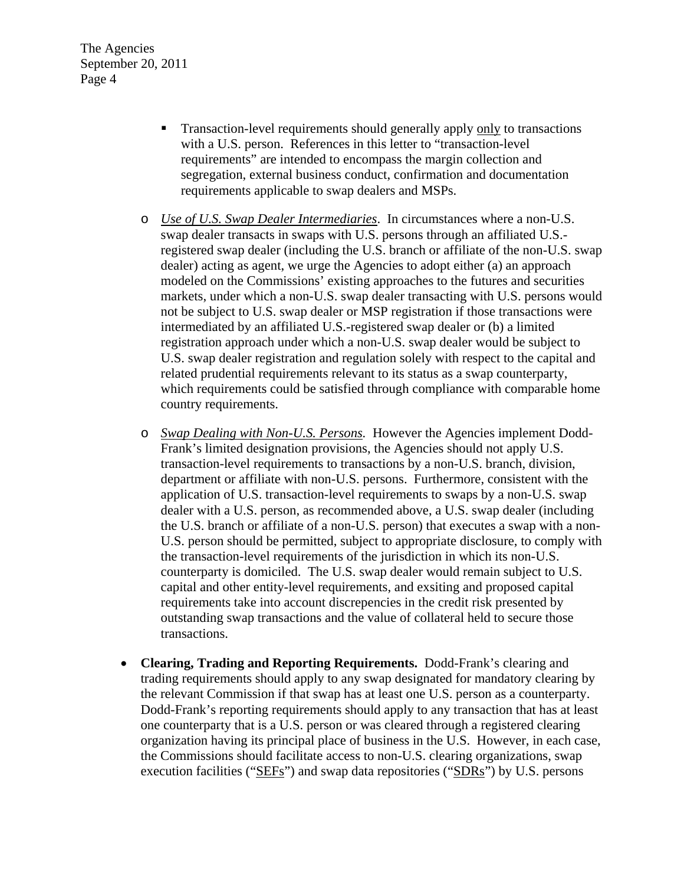- Transaction-level requirements should generally apply only to transactions with a U.S. person. References in this letter to "transaction-level requirements" are intended to encompass the margin collection and segregation, external business conduct, confirmation and documentation requirements applicable to swap dealers and MSPs.
- o *Use of U.S. Swap Dealer Intermediaries*. In circumstances where a non-U.S. swap dealer transacts in swaps with U.S. persons through an affiliated U.S. registered swap dealer (including the U.S. branch or affiliate of the non-U.S. swap dealer) acting as agent, we urge the Agencies to adopt either (a) an approach modeled on the Commissions' existing approaches to the futures and securities markets, under which a non-U.S. swap dealer transacting with U.S. persons would not be subject to U.S. swap dealer or MSP registration if those transactions were intermediated by an affiliated U.S.-registered swap dealer or (b) a limited registration approach under which a non-U.S. swap dealer would be subject to U.S. swap dealer registration and regulation solely with respect to the capital and related prudential requirements relevant to its status as a swap counterparty, which requirements could be satisfied through compliance with comparable home country requirements.
- o *Swap Dealing with Non-U.S. Persons.* However the Agencies implement Dodd-Frank's limited designation provisions, the Agencies should not apply U.S. transaction-level requirements to transactions by a non-U.S. branch, division, department or affiliate with non-U.S. persons. Furthermore, consistent with the application of U.S. transaction-level requirements to swaps by a non-U.S. swap dealer with a U.S. person, as recommended above, a U.S. swap dealer (including the U.S. branch or affiliate of a non-U.S. person) that executes a swap with a non-U.S. person should be permitted, subject to appropriate disclosure, to comply with the transaction-level requirements of the jurisdiction in which its non-U.S. counterparty is domiciled. The U.S. swap dealer would remain subject to U.S. capital and other entity-level requirements, and exsiting and proposed capital requirements take into account discrepencies in the credit risk presented by outstanding swap transactions and the value of collateral held to secure those transactions.
- **Clearing, Trading and Reporting Requirements.** Dodd-Frank's clearing and trading requirements should apply to any swap designated for mandatory clearing by the relevant Commission if that swap has at least one U.S. person as a counterparty. Dodd-Frank's reporting requirements should apply to any transaction that has at least one counterparty that is a U.S. person or was cleared through a registered clearing organization having its principal place of business in the U.S. However, in each case, the Commissions should facilitate access to non-U.S. clearing organizations, swap execution facilities ("SEFs") and swap data repositories ("SDRs") by U.S. persons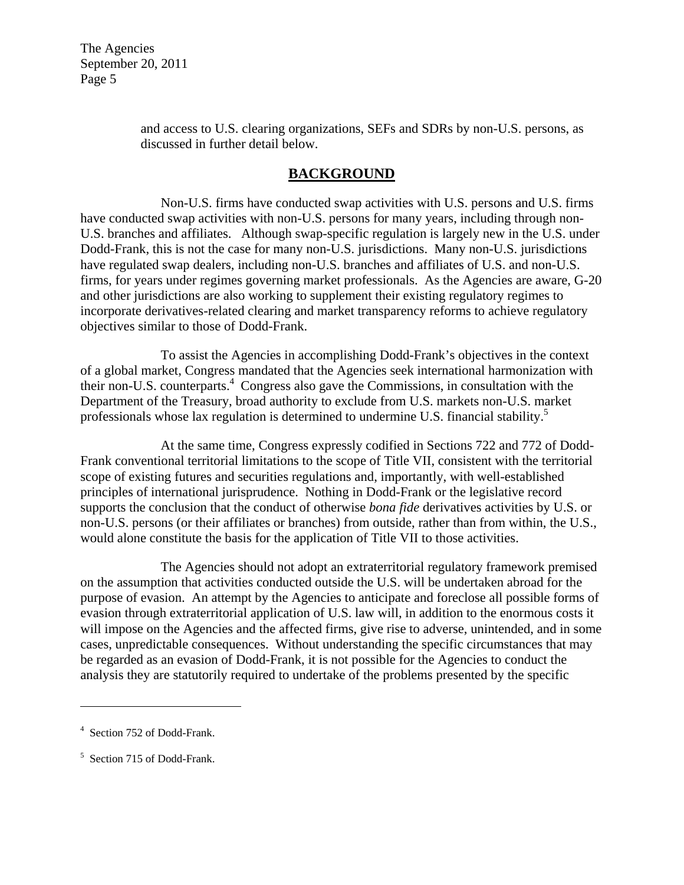> and access to U.S. clearing organizations, SEFs and SDRs by non-U.S. persons, as discussed in further detail below.

## **BACKGROUND**

 Non-U.S. firms have conducted swap activities with U.S. persons and U.S. firms have conducted swap activities with non-U.S. persons for many years, including through non-U.S. branches and affiliates. Although swap-specific regulation is largely new in the U.S. under Dodd-Frank, this is not the case for many non-U.S. jurisdictions. Many non-U.S. jurisdictions have regulated swap dealers, including non-U.S. branches and affiliates of U.S. and non-U.S. firms, for years under regimes governing market professionals. As the Agencies are aware, G-20 and other jurisdictions are also working to supplement their existing regulatory regimes to incorporate derivatives-related clearing and market transparency reforms to achieve regulatory objectives similar to those of Dodd-Frank.

 To assist the Agencies in accomplishing Dodd-Frank's objectives in the context of a global market, Congress mandated that the Agencies seek international harmonization with their non-U.S. counterparts.<sup>4</sup> Congress also gave the Commissions, in consultation with the Department of the Treasury, broad authority to exclude from U.S. markets non-U.S. market professionals whose lax regulation is determined to undermine U.S. financial stability.<sup>5</sup>

 At the same time, Congress expressly codified in Sections 722 and 772 of Dodd-Frank conventional territorial limitations to the scope of Title VII, consistent with the territorial scope of existing futures and securities regulations and, importantly, with well-established principles of international jurisprudence. Nothing in Dodd-Frank or the legislative record supports the conclusion that the conduct of otherwise *bona fide* derivatives activities by U.S. or non-U.S. persons (or their affiliates or branches) from outside, rather than from within, the U.S., would alone constitute the basis for the application of Title VII to those activities.

 The Agencies should not adopt an extraterritorial regulatory framework premised on the assumption that activities conducted outside the U.S. will be undertaken abroad for the purpose of evasion. An attempt by the Agencies to anticipate and foreclose all possible forms of evasion through extraterritorial application of U.S. law will, in addition to the enormous costs it will impose on the Agencies and the affected firms, give rise to adverse, unintended, and in some cases, unpredictable consequences. Without understanding the specific circumstances that may be regarded as an evasion of Dodd-Frank, it is not possible for the Agencies to conduct the analysis they are statutorily required to undertake of the problems presented by the specific

 $\overline{a}$ 

<sup>4</sup> Section 752 of Dodd-Frank.

<sup>&</sup>lt;sup>5</sup> Section 715 of Dodd-Frank.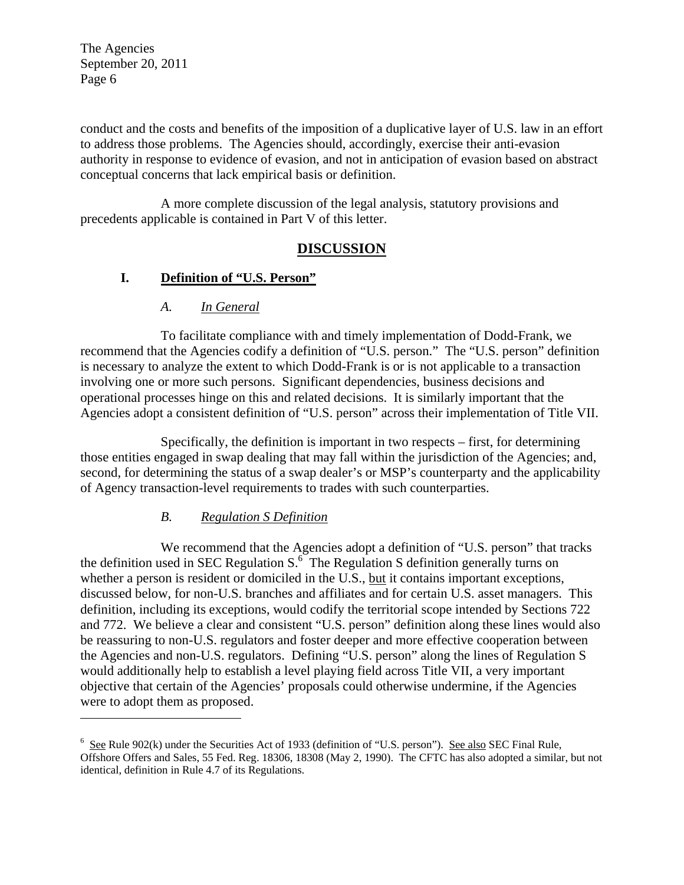$\overline{a}$ 

conduct and the costs and benefits of the imposition of a duplicative layer of U.S. law in an effort to address those problems. The Agencies should, accordingly, exercise their anti-evasion authority in response to evidence of evasion, and not in anticipation of evasion based on abstract conceptual concerns that lack empirical basis or definition.

A more complete discussion of the legal analysis, statutory provisions and precedents applicable is contained in Part V of this letter.

## **DISCUSSION**

## **I. Definition of "U.S. Person"**

## *A. In General*

To facilitate compliance with and timely implementation of Dodd-Frank, we recommend that the Agencies codify a definition of "U.S. person." The "U.S. person" definition is necessary to analyze the extent to which Dodd-Frank is or is not applicable to a transaction involving one or more such persons. Significant dependencies, business decisions and operational processes hinge on this and related decisions. It is similarly important that the Agencies adopt a consistent definition of "U.S. person" across their implementation of Title VII.

Specifically, the definition is important in two respects – first, for determining those entities engaged in swap dealing that may fall within the jurisdiction of the Agencies; and, second, for determining the status of a swap dealer's or MSP's counterparty and the applicability of Agency transaction-level requirements to trades with such counterparties.

## *B. Regulation S Definition*

We recommend that the Agencies adopt a definition of "U.S. person" that tracks the definition used in SEC Regulation  $S^{\sigma}$ . The Regulation S definition generally turns on whether a person is resident or domiciled in the U.S., but it contains important exceptions, discussed below, for non-U.S. branches and affiliates and for certain U.S. asset managers. This definition, including its exceptions, would codify the territorial scope intended by Sections 722 and 772. We believe a clear and consistent "U.S. person" definition along these lines would also be reassuring to non-U.S. regulators and foster deeper and more effective cooperation between the Agencies and non-U.S. regulators. Defining "U.S. person" along the lines of Regulation S would additionally help to establish a level playing field across Title VII, a very important objective that certain of the Agencies' proposals could otherwise undermine, if the Agencies were to adopt them as proposed.

 $6 \text{ See } R$ ule 902(k) under the Securities Act of 1933 (definition of "U.S. person"). See also SEC Final Rule, Offshore Offers and Sales, 55 Fed. Reg. 18306, 18308 (May 2, 1990). The CFTC has also adopted a similar, but not identical, definition in Rule 4.7 of its Regulations.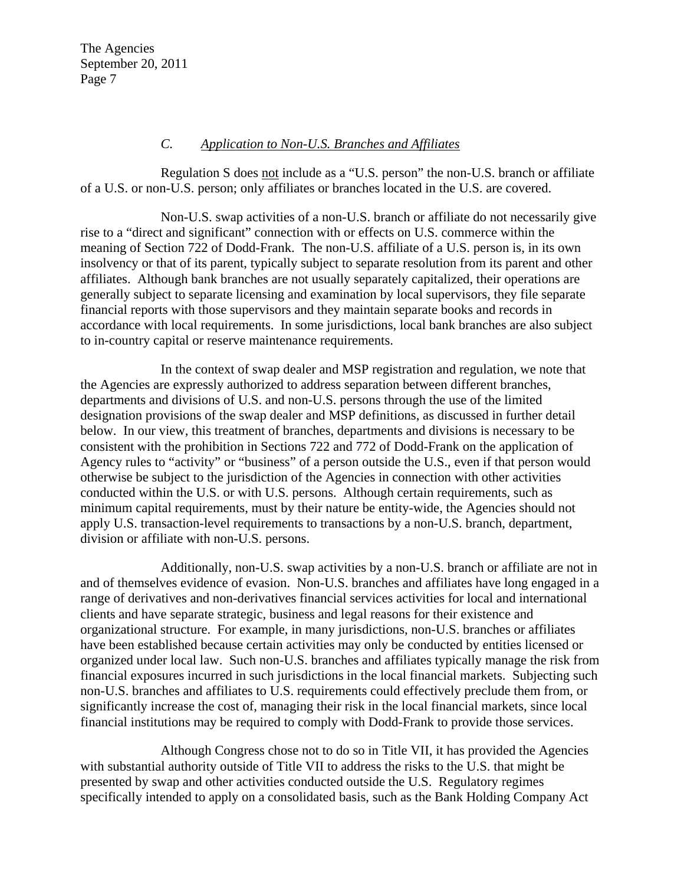#### *C. Application to Non-U.S. Branches and Affiliates*

Regulation S does not include as a "U.S. person" the non-U.S. branch or affiliate of a U.S. or non-U.S. person; only affiliates or branches located in the U.S. are covered.

Non-U.S. swap activities of a non-U.S. branch or affiliate do not necessarily give rise to a "direct and significant" connection with or effects on U.S. commerce within the meaning of Section 722 of Dodd-Frank. The non-U.S. affiliate of a U.S. person is, in its own insolvency or that of its parent, typically subject to separate resolution from its parent and other affiliates. Although bank branches are not usually separately capitalized, their operations are generally subject to separate licensing and examination by local supervisors, they file separate financial reports with those supervisors and they maintain separate books and records in accordance with local requirements. In some jurisdictions, local bank branches are also subject to in-country capital or reserve maintenance requirements.

In the context of swap dealer and MSP registration and regulation, we note that the Agencies are expressly authorized to address separation between different branches, departments and divisions of U.S. and non-U.S. persons through the use of the limited designation provisions of the swap dealer and MSP definitions, as discussed in further detail below. In our view, this treatment of branches, departments and divisions is necessary to be consistent with the prohibition in Sections 722 and 772 of Dodd-Frank on the application of Agency rules to "activity" or "business" of a person outside the U.S., even if that person would otherwise be subject to the jurisdiction of the Agencies in connection with other activities conducted within the U.S. or with U.S. persons. Although certain requirements, such as minimum capital requirements, must by their nature be entity-wide, the Agencies should not apply U.S. transaction-level requirements to transactions by a non-U.S. branch, department, division or affiliate with non-U.S. persons.

Additionally, non-U.S. swap activities by a non-U.S. branch or affiliate are not in and of themselves evidence of evasion. Non-U.S. branches and affiliates have long engaged in a range of derivatives and non-derivatives financial services activities for local and international clients and have separate strategic, business and legal reasons for their existence and organizational structure. For example, in many jurisdictions, non-U.S. branches or affiliates have been established because certain activities may only be conducted by entities licensed or organized under local law. Such non-U.S. branches and affiliates typically manage the risk from financial exposures incurred in such jurisdictions in the local financial markets. Subjecting such non-U.S. branches and affiliates to U.S. requirements could effectively preclude them from, or significantly increase the cost of, managing their risk in the local financial markets, since local financial institutions may be required to comply with Dodd-Frank to provide those services.

Although Congress chose not to do so in Title VII, it has provided the Agencies with substantial authority outside of Title VII to address the risks to the U.S. that might be presented by swap and other activities conducted outside the U.S. Regulatory regimes specifically intended to apply on a consolidated basis, such as the Bank Holding Company Act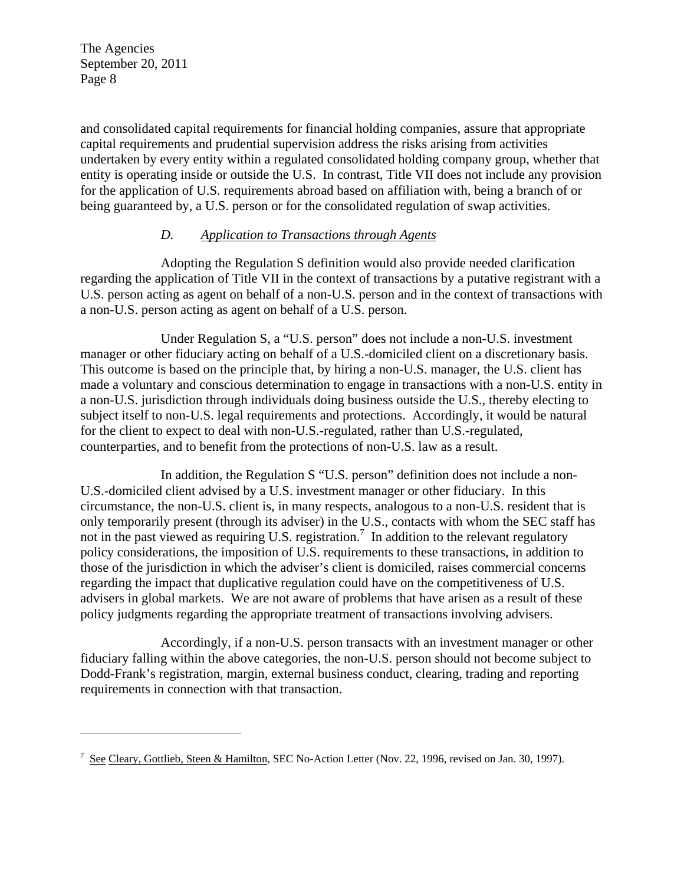$\overline{a}$ 

and consolidated capital requirements for financial holding companies, assure that appropriate capital requirements and prudential supervision address the risks arising from activities undertaken by every entity within a regulated consolidated holding company group, whether that entity is operating inside or outside the U.S. In contrast, Title VII does not include any provision for the application of U.S. requirements abroad based on affiliation with, being a branch of or being guaranteed by, a U.S. person or for the consolidated regulation of swap activities.

## *D. Application to Transactions through Agents*

Adopting the Regulation S definition would also provide needed clarification regarding the application of Title VII in the context of transactions by a putative registrant with a U.S. person acting as agent on behalf of a non-U.S. person and in the context of transactions with a non-U.S. person acting as agent on behalf of a U.S. person.

Under Regulation S, a "U.S. person" does not include a non-U.S. investment manager or other fiduciary acting on behalf of a U.S.-domiciled client on a discretionary basis. This outcome is based on the principle that, by hiring a non-U.S. manager, the U.S. client has made a voluntary and conscious determination to engage in transactions with a non-U.S. entity in a non-U.S. jurisdiction through individuals doing business outside the U.S., thereby electing to subject itself to non-U.S. legal requirements and protections. Accordingly, it would be natural for the client to expect to deal with non-U.S.-regulated, rather than U.S.-regulated, counterparties, and to benefit from the protections of non-U.S. law as a result.

In addition, the Regulation S "U.S. person" definition does not include a non-U.S.-domiciled client advised by a U.S. investment manager or other fiduciary. In this circumstance, the non-U.S. client is, in many respects, analogous to a non-U.S. resident that is only temporarily present (through its adviser) in the U.S., contacts with whom the SEC staff has not in the past viewed as requiring U.S. registration.<sup>7</sup> In addition to the relevant regulatory policy considerations, the imposition of U.S. requirements to these transactions, in addition to those of the jurisdiction in which the adviser's client is domiciled, raises commercial concerns regarding the impact that duplicative regulation could have on the competitiveness of U.S. advisers in global markets. We are not aware of problems that have arisen as a result of these policy judgments regarding the appropriate treatment of transactions involving advisers.

Accordingly, if a non-U.S. person transacts with an investment manager or other fiduciary falling within the above categories, the non-U.S. person should not become subject to Dodd-Frank's registration, margin, external business conduct, clearing, trading and reporting requirements in connection with that transaction.

<sup>&</sup>lt;sup>7</sup> See Cleary, Gottlieb, Steen & Hamilton, SEC No-Action Letter (Nov. 22, 1996, revised on Jan. 30, 1997).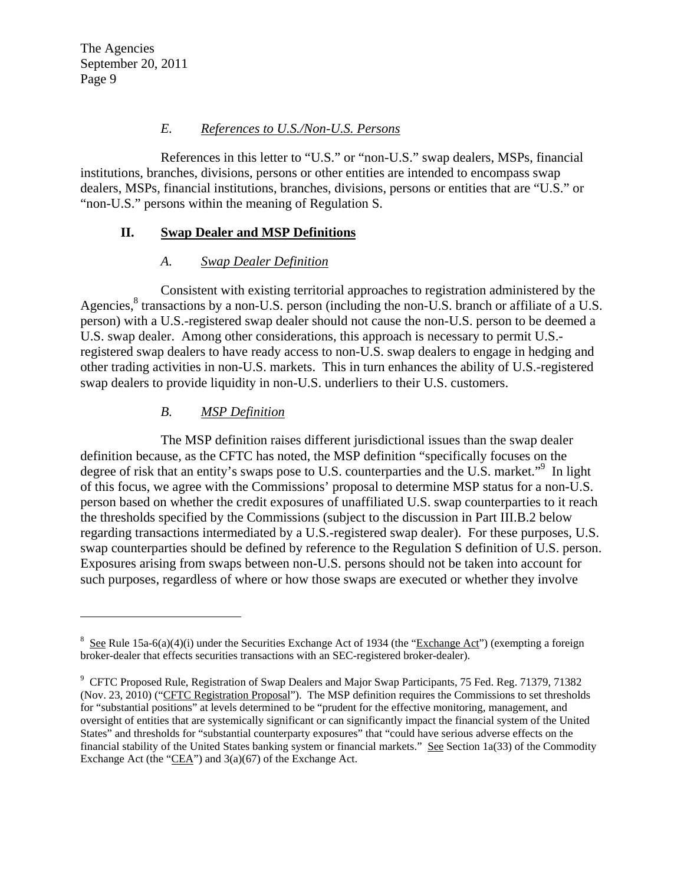$\overline{a}$ 

#### *E. References to U.S./Non-U.S. Persons*

References in this letter to "U.S." or "non-U.S." swap dealers, MSPs, financial institutions, branches, divisions, persons or other entities are intended to encompass swap dealers, MSPs, financial institutions, branches, divisions, persons or entities that are "U.S." or "non-U.S." persons within the meaning of Regulation S.

### **II. Swap Dealer and MSP Definitions**

### *A. Swap Dealer Definition*

Consistent with existing territorial approaches to registration administered by the Agencies,<sup>8</sup> transactions by a non-U.S. person (including the non-U.S. branch or affiliate of a U.S. person) with a U.S.-registered swap dealer should not cause the non-U.S. person to be deemed a U.S. swap dealer. Among other considerations, this approach is necessary to permit U.S. registered swap dealers to have ready access to non-U.S. swap dealers to engage in hedging and other trading activities in non-U.S. markets. This in turn enhances the ability of U.S.-registered swap dealers to provide liquidity in non-U.S. underliers to their U.S. customers.

## *B. MSP Definition*

The MSP definition raises different jurisdictional issues than the swap dealer definition because, as the CFTC has noted, the MSP definition "specifically focuses on the degree of risk that an entity's swaps pose to U.S. counterparties and the U.S. market."<sup>9</sup> In light of this focus, we agree with the Commissions' proposal to determine MSP status for a non-U.S. person based on whether the credit exposures of unaffiliated U.S. swap counterparties to it reach the thresholds specified by the Commissions (subject to the discussion in Part III.B.2 below regarding transactions intermediated by a U.S.-registered swap dealer). For these purposes, U.S. swap counterparties should be defined by reference to the Regulation S definition of U.S. person. Exposures arising from swaps between non-U.S. persons should not be taken into account for such purposes, regardless of where or how those swaps are executed or whether they involve

<sup>&</sup>lt;sup>8</sup> See Rule 15a-6(a)(4)(i) under the Securities Exchange Act of 1934 (the "Exchange Act") (exempting a foreign broker-dealer that effects securities transactions with an SEC-registered broker-dealer).

<sup>&</sup>lt;sup>9</sup> CFTC Proposed Rule, Registration of Swap Dealers and Major Swap Participants, 75 Fed. Reg. 71379, 71382 (Nov. 23, 2010) ("CFTC Registration Proposal"). The MSP definition requires the Commissions to set thresholds for "substantial positions" at levels determined to be "prudent for the effective monitoring, management, and oversight of entities that are systemically significant or can significantly impact the financial system of the United States" and thresholds for "substantial counterparty exposures" that "could have serious adverse effects on the financial stability of the United States banking system or financial markets." See Section 1a(33) of the Commodity Exchange Act (the "CEA") and 3(a)(67) of the Exchange Act.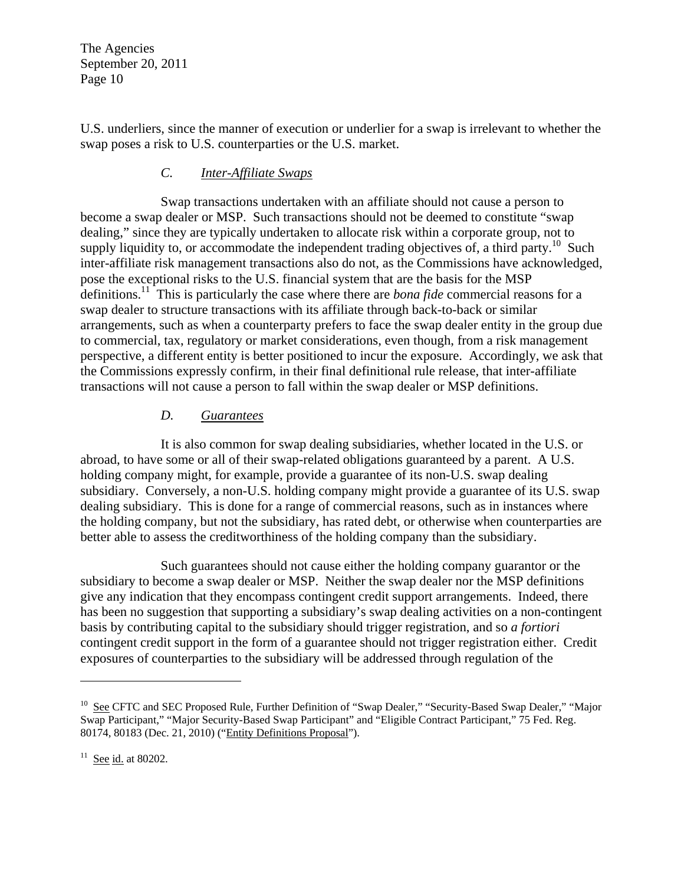U.S. underliers, since the manner of execution or underlier for a swap is irrelevant to whether the swap poses a risk to U.S. counterparties or the U.S. market.

### *C. Inter-Affiliate Swaps*

Swap transactions undertaken with an affiliate should not cause a person to become a swap dealer or MSP. Such transactions should not be deemed to constitute "swap dealing," since they are typically undertaken to allocate risk within a corporate group, not to supply liquidity to, or accommodate the independent trading objectives of, a third party.<sup>10</sup> Such inter-affiliate risk management transactions also do not, as the Commissions have acknowledged, pose the exceptional risks to the U.S. financial system that are the basis for the MSP definitions.11 This is particularly the case where there are *bona fide* commercial reasons for a swap dealer to structure transactions with its affiliate through back-to-back or similar arrangements, such as when a counterparty prefers to face the swap dealer entity in the group due to commercial, tax, regulatory or market considerations, even though, from a risk management perspective, a different entity is better positioned to incur the exposure. Accordingly, we ask that the Commissions expressly confirm, in their final definitional rule release, that inter-affiliate transactions will not cause a person to fall within the swap dealer or MSP definitions.

## *D. Guarantees*

It is also common for swap dealing subsidiaries, whether located in the U.S. or abroad, to have some or all of their swap-related obligations guaranteed by a parent. A U.S. holding company might, for example, provide a guarantee of its non-U.S. swap dealing subsidiary. Conversely, a non-U.S. holding company might provide a guarantee of its U.S. swap dealing subsidiary. This is done for a range of commercial reasons, such as in instances where the holding company, but not the subsidiary, has rated debt, or otherwise when counterparties are better able to assess the creditworthiness of the holding company than the subsidiary.

Such guarantees should not cause either the holding company guarantor or the subsidiary to become a swap dealer or MSP. Neither the swap dealer nor the MSP definitions give any indication that they encompass contingent credit support arrangements. Indeed, there has been no suggestion that supporting a subsidiary's swap dealing activities on a non-contingent basis by contributing capital to the subsidiary should trigger registration, and so *a fortiori*  contingent credit support in the form of a guarantee should not trigger registration either. Credit exposures of counterparties to the subsidiary will be addressed through regulation of the

 $\overline{a}$ 

<sup>&</sup>lt;sup>10</sup> See CFTC and SEC Proposed Rule, Further Definition of "Swap Dealer," "Security-Based Swap Dealer," "Major Swap Participant," "Major Security-Based Swap Participant" and "Eligible Contract Participant," 75 Fed. Reg. 80174, 80183 (Dec. 21, 2010) ("Entity Definitions Proposal").

 $11$  See id. at 80202.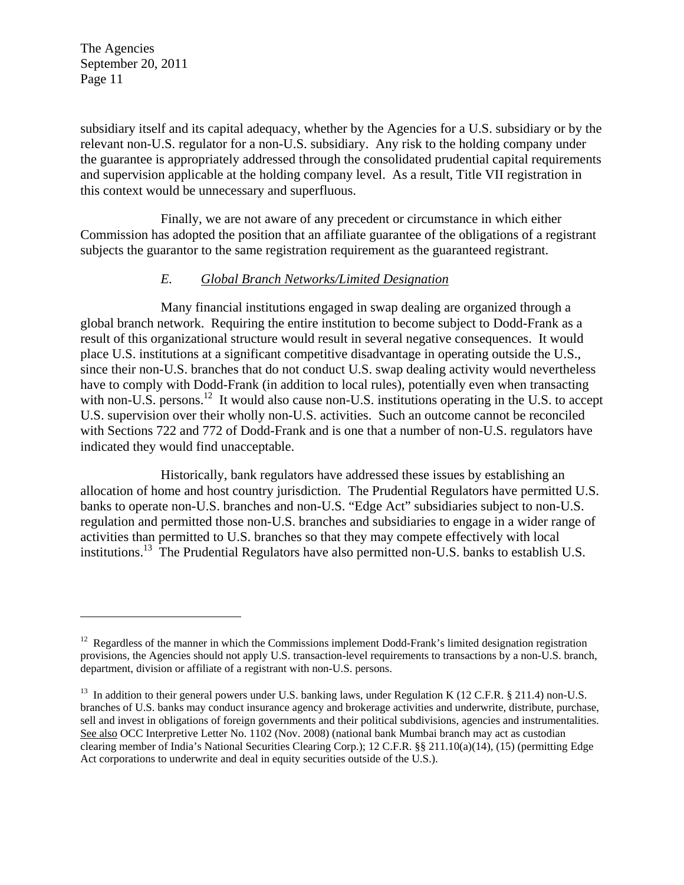$\overline{a}$ 

subsidiary itself and its capital adequacy, whether by the Agencies for a U.S. subsidiary or by the relevant non-U.S. regulator for a non-U.S. subsidiary. Any risk to the holding company under the guarantee is appropriately addressed through the consolidated prudential capital requirements and supervision applicable at the holding company level. As a result, Title VII registration in this context would be unnecessary and superfluous.

Finally, we are not aware of any precedent or circumstance in which either Commission has adopted the position that an affiliate guarantee of the obligations of a registrant subjects the guarantor to the same registration requirement as the guaranteed registrant.

#### *E. Global Branch Networks/Limited Designation*

Many financial institutions engaged in swap dealing are organized through a global branch network. Requiring the entire institution to become subject to Dodd-Frank as a result of this organizational structure would result in several negative consequences. It would place U.S. institutions at a significant competitive disadvantage in operating outside the U.S., since their non-U.S. branches that do not conduct U.S. swap dealing activity would nevertheless have to comply with Dodd-Frank (in addition to local rules), potentially even when transacting with non-U.S. persons.<sup>12</sup> It would also cause non-U.S. institutions operating in the U.S. to accept U.S. supervision over their wholly non-U.S. activities. Such an outcome cannot be reconciled with Sections 722 and 772 of Dodd-Frank and is one that a number of non-U.S. regulators have indicated they would find unacceptable.

Historically, bank regulators have addressed these issues by establishing an allocation of home and host country jurisdiction. The Prudential Regulators have permitted U.S. banks to operate non-U.S. branches and non-U.S. "Edge Act" subsidiaries subject to non-U.S. regulation and permitted those non-U.S. branches and subsidiaries to engage in a wider range of activities than permitted to U.S. branches so that they may compete effectively with local institutions.13 The Prudential Regulators have also permitted non-U.S. banks to establish U.S.

<sup>&</sup>lt;sup>12</sup> Regardless of the manner in which the Commissions implement Dodd-Frank's limited designation registration provisions, the Agencies should not apply U.S. transaction-level requirements to transactions by a non-U.S. branch, department, division or affiliate of a registrant with non-U.S. persons.

<sup>&</sup>lt;sup>13</sup> In addition to their general powers under U.S. banking laws, under Regulation K (12 C.F.R. § 211.4) non-U.S. branches of U.S. banks may conduct insurance agency and brokerage activities and underwrite, distribute, purchase, sell and invest in obligations of foreign governments and their political subdivisions, agencies and instrumentalities. See also OCC Interpretive Letter No. 1102 (Nov. 2008) (national bank Mumbai branch may act as custodian clearing member of India's National Securities Clearing Corp.); 12 C.F.R. §§ 211.10(a)(14), (15) (permitting Edge Act corporations to underwrite and deal in equity securities outside of the U.S.).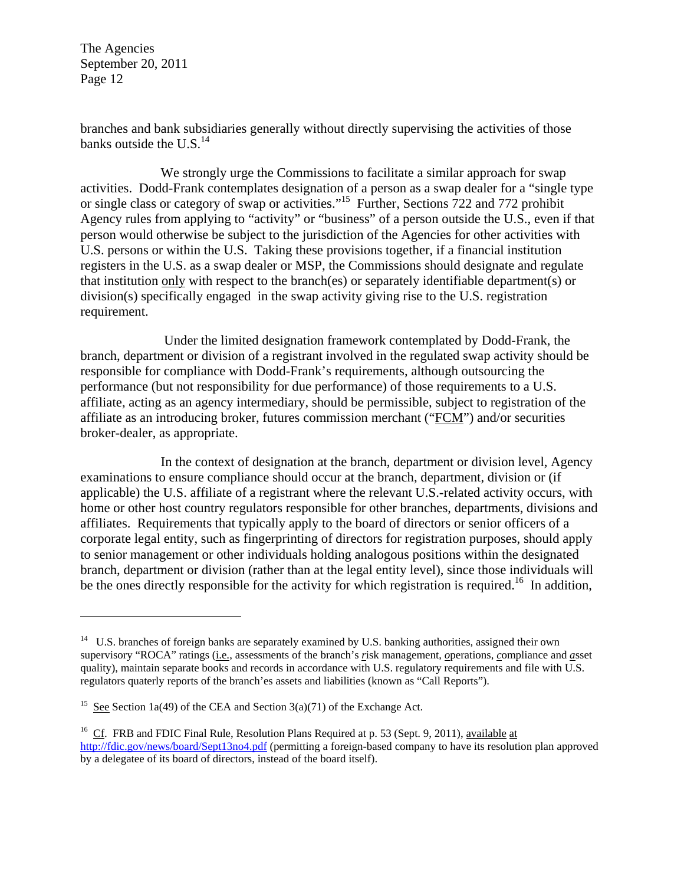1

branches and bank subsidiaries generally without directly supervising the activities of those banks outside the  $U.S.<sup>14</sup>$ 

We strongly urge the Commissions to facilitate a similar approach for swap activities. Dodd-Frank contemplates designation of a person as a swap dealer for a "single type or single class or category of swap or activities."<sup>15</sup> Further, Sections 722 and 772 prohibit Agency rules from applying to "activity" or "business" of a person outside the U.S., even if that person would otherwise be subject to the jurisdiction of the Agencies for other activities with U.S. persons or within the U.S. Taking these provisions together, if a financial institution registers in the U.S. as a swap dealer or MSP, the Commissions should designate and regulate that institution only with respect to the branch(es) or separately identifiable department(s) or division(s) specifically engaged in the swap activity giving rise to the U.S. registration requirement.

 Under the limited designation framework contemplated by Dodd-Frank, the branch, department or division of a registrant involved in the regulated swap activity should be responsible for compliance with Dodd-Frank's requirements, although outsourcing the performance (but not responsibility for due performance) of those requirements to a U.S. affiliate, acting as an agency intermediary, should be permissible, subject to registration of the affiliate as an introducing broker, futures commission merchant ("FCM") and/or securities broker-dealer, as appropriate.

In the context of designation at the branch, department or division level, Agency examinations to ensure compliance should occur at the branch, department, division or (if applicable) the U.S. affiliate of a registrant where the relevant U.S.-related activity occurs, with home or other host country regulators responsible for other branches, departments, divisions and affiliates. Requirements that typically apply to the board of directors or senior officers of a corporate legal entity, such as fingerprinting of directors for registration purposes, should apply to senior management or other individuals holding analogous positions within the designated branch, department or division (rather than at the legal entity level), since those individuals will be the ones directly responsible for the activity for which registration is required.<sup>16</sup> In addition,

<sup>&</sup>lt;sup>14</sup> U.S. branches of foreign banks are separately examined by U.S. banking authorities, assigned their own supervisory "ROCA" ratings (i.e., assessments of the branch's *r*isk management, *o*perations, *c*ompliance and *a*sset quality), maintain separate books and records in accordance with U.S. regulatory requirements and file with U.S. regulators quaterly reports of the branch'es assets and liabilities (known as "Call Reports").

<sup>&</sup>lt;sup>15</sup> See Section 1a(49) of the CEA and Section 3(a)(71) of the Exchange Act.

<sup>&</sup>lt;sup>16</sup> Cf. FRB and FDIC Final Rule, Resolution Plans Required at p. 53 (Sept. 9, 2011), available at http://fdic.gov/news/board/Sept13no4.pdf (permitting a foreign-based company to have its resolution plan approved by a delegatee of its board of directors, instead of the board itself).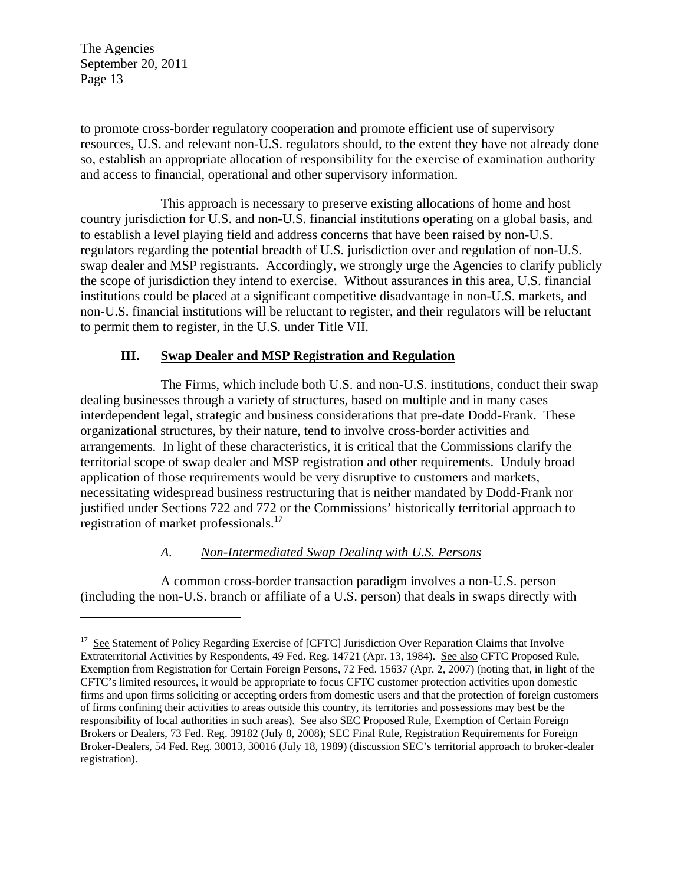$\overline{a}$ 

to promote cross-border regulatory cooperation and promote efficient use of supervisory resources, U.S. and relevant non-U.S. regulators should, to the extent they have not already done so, establish an appropriate allocation of responsibility for the exercise of examination authority and access to financial, operational and other supervisory information.

This approach is necessary to preserve existing allocations of home and host country jurisdiction for U.S. and non-U.S. financial institutions operating on a global basis, and to establish a level playing field and address concerns that have been raised by non-U.S. regulators regarding the potential breadth of U.S. jurisdiction over and regulation of non-U.S. swap dealer and MSP registrants. Accordingly, we strongly urge the Agencies to clarify publicly the scope of jurisdiction they intend to exercise. Without assurances in this area, U.S. financial institutions could be placed at a significant competitive disadvantage in non-U.S. markets, and non-U.S. financial institutions will be reluctant to register, and their regulators will be reluctant to permit them to register, in the U.S. under Title VII.

## **III. Swap Dealer and MSP Registration and Regulation**

The Firms, which include both U.S. and non-U.S. institutions, conduct their swap dealing businesses through a variety of structures, based on multiple and in many cases interdependent legal, strategic and business considerations that pre-date Dodd-Frank. These organizational structures, by their nature, tend to involve cross-border activities and arrangements. In light of these characteristics, it is critical that the Commissions clarify the territorial scope of swap dealer and MSP registration and other requirements. Unduly broad application of those requirements would be very disruptive to customers and markets, necessitating widespread business restructuring that is neither mandated by Dodd-Frank nor justified under Sections 722 and 772 or the Commissions' historically territorial approach to registration of market professionals.<sup>17</sup>

#### *A. Non-Intermediated Swap Dealing with U.S. Persons*

A common cross-border transaction paradigm involves a non-U.S. person (including the non-U.S. branch or affiliate of a U.S. person) that deals in swaps directly with

<sup>&</sup>lt;sup>17</sup> See Statement of Policy Regarding Exercise of [CFTC] Jurisdiction Over Reparation Claims that Involve Extraterritorial Activities by Respondents, 49 Fed. Reg. 14721 (Apr. 13, 1984). See also CFTC Proposed Rule, Exemption from Registration for Certain Foreign Persons, 72 Fed. 15637 (Apr. 2, 2007) (noting that, in light of the CFTC's limited resources, it would be appropriate to focus CFTC customer protection activities upon domestic firms and upon firms soliciting or accepting orders from domestic users and that the protection of foreign customers of firms confining their activities to areas outside this country, its territories and possessions may best be the responsibility of local authorities in such areas). See also SEC Proposed Rule, Exemption of Certain Foreign Brokers or Dealers, 73 Fed. Reg. 39182 (July 8, 2008); SEC Final Rule, Registration Requirements for Foreign Broker-Dealers, 54 Fed. Reg. 30013, 30016 (July 18, 1989) (discussion SEC's territorial approach to broker-dealer registration).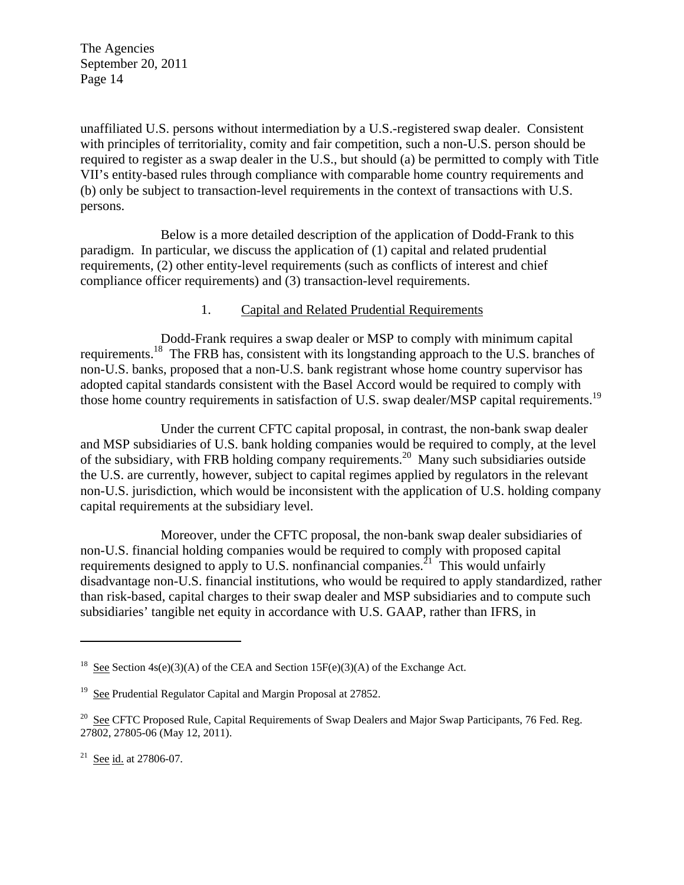unaffiliated U.S. persons without intermediation by a U.S.-registered swap dealer. Consistent with principles of territoriality, comity and fair competition, such a non-U.S. person should be required to register as a swap dealer in the U.S., but should (a) be permitted to comply with Title VII's entity-based rules through compliance with comparable home country requirements and (b) only be subject to transaction-level requirements in the context of transactions with U.S. persons.

Below is a more detailed description of the application of Dodd-Frank to this paradigm. In particular, we discuss the application of (1) capital and related prudential requirements, (2) other entity-level requirements (such as conflicts of interest and chief compliance officer requirements) and (3) transaction-level requirements.

#### 1. Capital and Related Prudential Requirements

Dodd-Frank requires a swap dealer or MSP to comply with minimum capital requirements.18 The FRB has, consistent with its longstanding approach to the U.S. branches of non-U.S. banks, proposed that a non-U.S. bank registrant whose home country supervisor has adopted capital standards consistent with the Basel Accord would be required to comply with those home country requirements in satisfaction of U.S. swap dealer/MSP capital requirements.<sup>19</sup>

Under the current CFTC capital proposal, in contrast, the non-bank swap dealer and MSP subsidiaries of U.S. bank holding companies would be required to comply, at the level of the subsidiary, with FRB holding company requirements.20 Many such subsidiaries outside the U.S. are currently, however, subject to capital regimes applied by regulators in the relevant non-U.S. jurisdiction, which would be inconsistent with the application of U.S. holding company capital requirements at the subsidiary level.

Moreover, under the CFTC proposal, the non-bank swap dealer subsidiaries of non-U.S. financial holding companies would be required to comply with proposed capital requirements designed to apply to U.S. nonfinancial companies.<sup>21</sup> This would unfairly disadvantage non-U.S. financial institutions, who would be required to apply standardized, rather than risk-based, capital charges to their swap dealer and MSP subsidiaries and to compute such subsidiaries' tangible net equity in accordance with U.S. GAAP, rather than IFRS, in

 $\overline{a}$ 

<sup>&</sup>lt;sup>18</sup> See Section 4s(e)(3)(A) of the CEA and Section 15F(e)(3)(A) of the Exchange Act.

<sup>&</sup>lt;sup>19</sup> See Prudential Regulator Capital and Margin Proposal at 27852.

<sup>&</sup>lt;sup>20</sup> See CFTC Proposed Rule, Capital Requirements of Swap Dealers and Major Swap Participants, 76 Fed. Reg. 27802, 27805-06 (May 12, 2011).

<sup>&</sup>lt;sup>21</sup> See id. at 27806-07.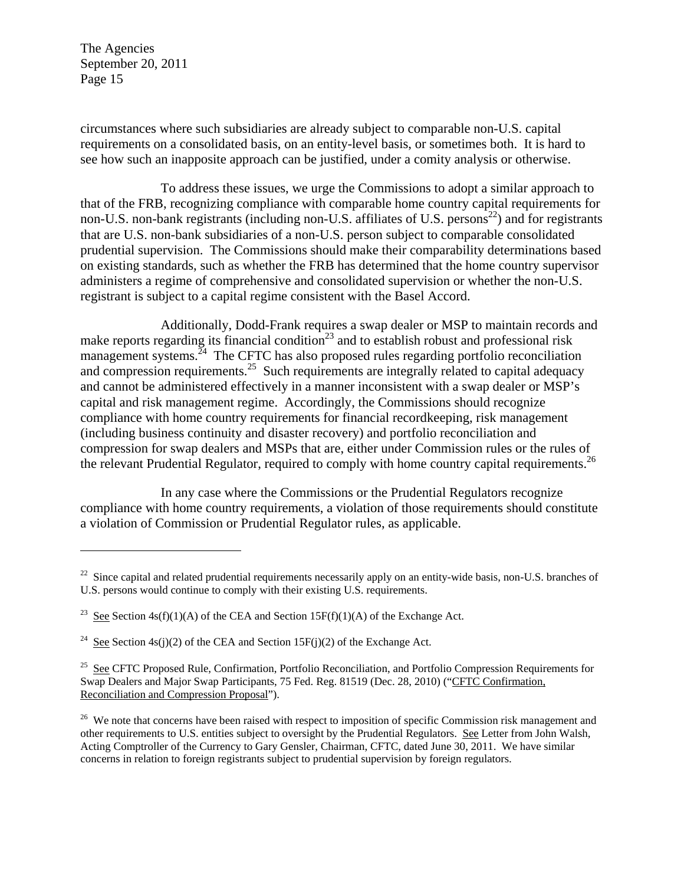$\overline{a}$ 

circumstances where such subsidiaries are already subject to comparable non-U.S. capital requirements on a consolidated basis, on an entity-level basis, or sometimes both. It is hard to see how such an inapposite approach can be justified, under a comity analysis or otherwise.

To address these issues, we urge the Commissions to adopt a similar approach to that of the FRB, recognizing compliance with comparable home country capital requirements for non-U.S. non-bank registrants (including non-U.S. affiliates of U.S. persons<sup>22</sup>) and for registrants that are U.S. non-bank subsidiaries of a non-U.S. person subject to comparable consolidated prudential supervision. The Commissions should make their comparability determinations based on existing standards, such as whether the FRB has determined that the home country supervisor administers a regime of comprehensive and consolidated supervision or whether the non-U.S. registrant is subject to a capital regime consistent with the Basel Accord.

Additionally, Dodd-Frank requires a swap dealer or MSP to maintain records and make reports regarding its financial condition<sup>23</sup> and to establish robust and professional risk management systems. $^{24}$  The CFTC has also proposed rules regarding portfolio reconciliation and compression requirements.<sup>25</sup> Such requirements are integrally related to capital adequacy and cannot be administered effectively in a manner inconsistent with a swap dealer or MSP's capital and risk management regime. Accordingly, the Commissions should recognize compliance with home country requirements for financial recordkeeping, risk management (including business continuity and disaster recovery) and portfolio reconciliation and compression for swap dealers and MSPs that are, either under Commission rules or the rules of the relevant Prudential Regulator, required to comply with home country capital requirements.<sup>26</sup>

In any case where the Commissions or the Prudential Regulators recognize compliance with home country requirements, a violation of those requirements should constitute a violation of Commission or Prudential Regulator rules, as applicable.

 $22$  Since capital and related prudential requirements necessarily apply on an entity-wide basis, non-U.S. branches of U.S. persons would continue to comply with their existing U.S. requirements.

<sup>&</sup>lt;sup>23</sup> See Section 4s(f)(1)(A) of the CEA and Section 15F(f)(1)(A) of the Exchange Act.

<sup>&</sup>lt;sup>24</sup> See Section 4s(j)(2) of the CEA and Section 15F(j)(2) of the Exchange Act.

<sup>&</sup>lt;sup>25</sup> See CFTC Proposed Rule, Confirmation, Portfolio Reconciliation, and Portfolio Compression Requirements for Swap Dealers and Major Swap Participants, 75 Fed. Reg. 81519 (Dec. 28, 2010) ("CFTC Confirmation, Reconciliation and Compression Proposal").

<sup>&</sup>lt;sup>26</sup> We note that concerns have been raised with respect to imposition of specific Commission risk management and other requirements to U.S. entities subject to oversight by the Prudential Regulators. See Letter from John Walsh, Acting Comptroller of the Currency to Gary Gensler, Chairman, CFTC, dated June 30, 2011. We have similar concerns in relation to foreign registrants subject to prudential supervision by foreign regulators.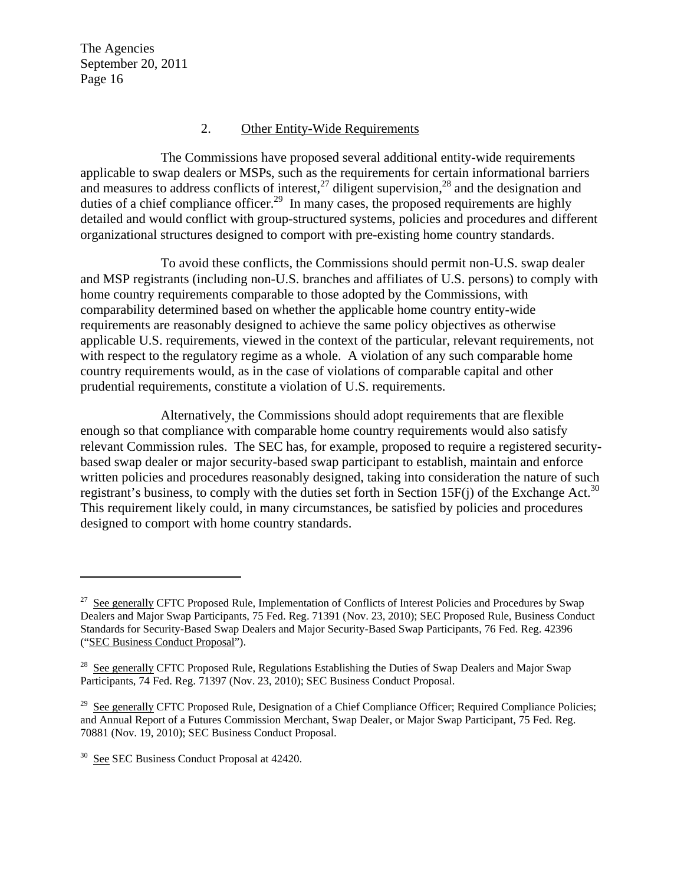#### 2. Other Entity-Wide Requirements

The Commissions have proposed several additional entity-wide requirements applicable to swap dealers or MSPs, such as the requirements for certain informational barriers and measures to address conflicts of interest,<sup>27</sup> diligent supervision,<sup>28</sup> and the designation and duties of a chief compliance officer.<sup>29</sup> In many cases, the proposed requirements are highly detailed and would conflict with group-structured systems, policies and procedures and different organizational structures designed to comport with pre-existing home country standards.

To avoid these conflicts, the Commissions should permit non-U.S. swap dealer and MSP registrants (including non-U.S. branches and affiliates of U.S. persons) to comply with home country requirements comparable to those adopted by the Commissions, with comparability determined based on whether the applicable home country entity-wide requirements are reasonably designed to achieve the same policy objectives as otherwise applicable U.S. requirements, viewed in the context of the particular, relevant requirements, not with respect to the regulatory regime as a whole. A violation of any such comparable home country requirements would, as in the case of violations of comparable capital and other prudential requirements, constitute a violation of U.S. requirements.

Alternatively, the Commissions should adopt requirements that are flexible enough so that compliance with comparable home country requirements would also satisfy relevant Commission rules. The SEC has, for example, proposed to require a registered securitybased swap dealer or major security-based swap participant to establish, maintain and enforce written policies and procedures reasonably designed, taking into consideration the nature of such registrant's business, to comply with the duties set forth in Section 15 $F(j)$  of the Exchange Act.<sup>30</sup> This requirement likely could, in many circumstances, be satisfied by policies and procedures designed to comport with home country standards.

1

<sup>&</sup>lt;sup>27</sup> See generally CFTC Proposed Rule, Implementation of Conflicts of Interest Policies and Procedures by Swap Dealers and Major Swap Participants, 75 Fed. Reg. 71391 (Nov. 23, 2010); SEC Proposed Rule, Business Conduct Standards for Security-Based Swap Dealers and Major Security-Based Swap Participants, 76 Fed. Reg. 42396 ("SEC Business Conduct Proposal").

<sup>&</sup>lt;sup>28</sup> See generally CFTC Proposed Rule, Regulations Establishing the Duties of Swap Dealers and Major Swap Participants, 74 Fed. Reg. 71397 (Nov. 23, 2010); SEC Business Conduct Proposal.

<sup>&</sup>lt;sup>29</sup> See generally CFTC Proposed Rule, Designation of a Chief Compliance Officer; Required Compliance Policies; and Annual Report of a Futures Commission Merchant, Swap Dealer, or Major Swap Participant, 75 Fed. Reg. 70881 (Nov. 19, 2010); SEC Business Conduct Proposal.

<sup>&</sup>lt;sup>30</sup> See SEC Business Conduct Proposal at 42420.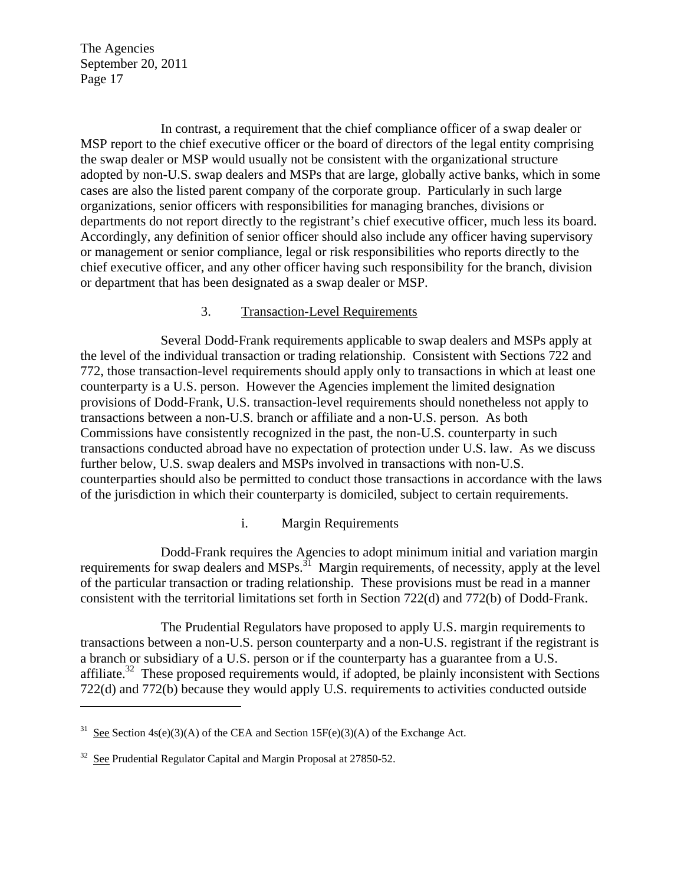In contrast, a requirement that the chief compliance officer of a swap dealer or MSP report to the chief executive officer or the board of directors of the legal entity comprising the swap dealer or MSP would usually not be consistent with the organizational structure adopted by non-U.S. swap dealers and MSPs that are large, globally active banks, which in some cases are also the listed parent company of the corporate group. Particularly in such large organizations, senior officers with responsibilities for managing branches, divisions or departments do not report directly to the registrant's chief executive officer, much less its board. Accordingly, any definition of senior officer should also include any officer having supervisory or management or senior compliance, legal or risk responsibilities who reports directly to the chief executive officer, and any other officer having such responsibility for the branch, division or department that has been designated as a swap dealer or MSP.

#### 3. Transaction-Level Requirements

Several Dodd-Frank requirements applicable to swap dealers and MSPs apply at the level of the individual transaction or trading relationship. Consistent with Sections 722 and 772, those transaction-level requirements should apply only to transactions in which at least one counterparty is a U.S. person. However the Agencies implement the limited designation provisions of Dodd-Frank, U.S. transaction-level requirements should nonetheless not apply to transactions between a non-U.S. branch or affiliate and a non-U.S. person. As both Commissions have consistently recognized in the past, the non-U.S. counterparty in such transactions conducted abroad have no expectation of protection under U.S. law. As we discuss further below, U.S. swap dealers and MSPs involved in transactions with non-U.S. counterparties should also be permitted to conduct those transactions in accordance with the laws of the jurisdiction in which their counterparty is domiciled, subject to certain requirements.

#### i. Margin Requirements

Dodd-Frank requires the Agencies to adopt minimum initial and variation margin requirements for swap dealers and MSPs.<sup>31</sup> Margin requirements, of necessity, apply at the level of the particular transaction or trading relationship. These provisions must be read in a manner consistent with the territorial limitations set forth in Section 722(d) and 772(b) of Dodd-Frank.

The Prudential Regulators have proposed to apply U.S. margin requirements to transactions between a non-U.S. person counterparty and a non-U.S. registrant if the registrant is a branch or subsidiary of a U.S. person or if the counterparty has a guarantee from a U.S. affiliate.<sup>32</sup> These proposed requirements would, if adopted, be plainly inconsistent with Sections 722(d) and 772(b) because they would apply U.S. requirements to activities conducted outside

<u>.</u>

See Section  $4s(e)(3)(A)$  of the CEA and Section 15F(e)(3)(A) of the Exchange Act.

 $32$  See Prudential Regulator Capital and Margin Proposal at 27850-52.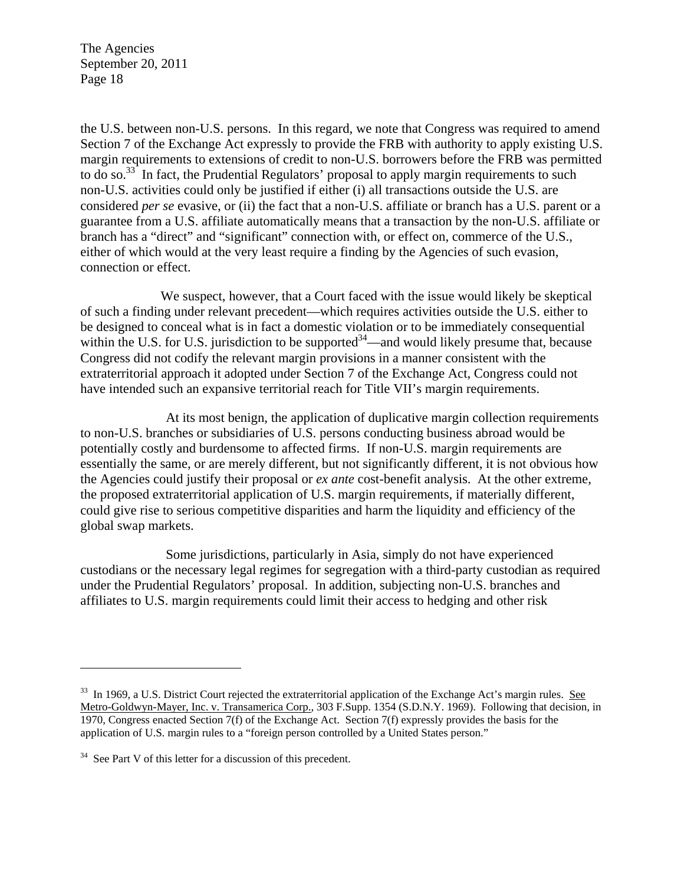the U.S. between non-U.S. persons. In this regard, we note that Congress was required to amend Section 7 of the Exchange Act expressly to provide the FRB with authority to apply existing U.S. margin requirements to extensions of credit to non-U.S. borrowers before the FRB was permitted to do so.<sup>33</sup> In fact, the Prudential Regulators' proposal to apply margin requirements to such non-U.S. activities could only be justified if either (i) all transactions outside the U.S. are considered *per se* evasive, or (ii) the fact that a non-U.S. affiliate or branch has a U.S. parent or a guarantee from a U.S. affiliate automatically means that a transaction by the non-U.S. affiliate or branch has a "direct" and "significant" connection with, or effect on, commerce of the U.S., either of which would at the very least require a finding by the Agencies of such evasion, connection or effect.

We suspect, however, that a Court faced with the issue would likely be skeptical of such a finding under relevant precedent—which requires activities outside the U.S. either to be designed to conceal what is in fact a domestic violation or to be immediately consequential within the U.S. for U.S. jurisdiction to be supported  $34$ —and would likely presume that, because Congress did not codify the relevant margin provisions in a manner consistent with the extraterritorial approach it adopted under Section 7 of the Exchange Act, Congress could not have intended such an expansive territorial reach for Title VII's margin requirements.

At its most benign, the application of duplicative margin collection requirements to non-U.S. branches or subsidiaries of U.S. persons conducting business abroad would be potentially costly and burdensome to affected firms. If non-U.S. margin requirements are essentially the same, or are merely different, but not significantly different, it is not obvious how the Agencies could justify their proposal or *ex ante* cost-benefit analysis. At the other extreme, the proposed extraterritorial application of U.S. margin requirements, if materially different, could give rise to serious competitive disparities and harm the liquidity and efficiency of the global swap markets.

Some jurisdictions, particularly in Asia, simply do not have experienced custodians or the necessary legal regimes for segregation with a third-party custodian as required under the Prudential Regulators' proposal. In addition, subjecting non-U.S. branches and affiliates to U.S. margin requirements could limit their access to hedging and other risk

 $\overline{a}$ 

<sup>&</sup>lt;sup>33</sup> In 1969, a U.S. District Court rejected the extraterritorial application of the Exchange Act's margin rules. See Metro-Goldwyn-Mayer, Inc. v. Transamerica Corp., 303 F.Supp. 1354 (S.D.N.Y. 1969). Following that decision, in 1970, Congress enacted Section 7(f) of the Exchange Act. Section 7(f) expressly provides the basis for the application of U.S. margin rules to a "foreign person controlled by a United States person."

<sup>&</sup>lt;sup>34</sup> See Part V of this letter for a discussion of this precedent.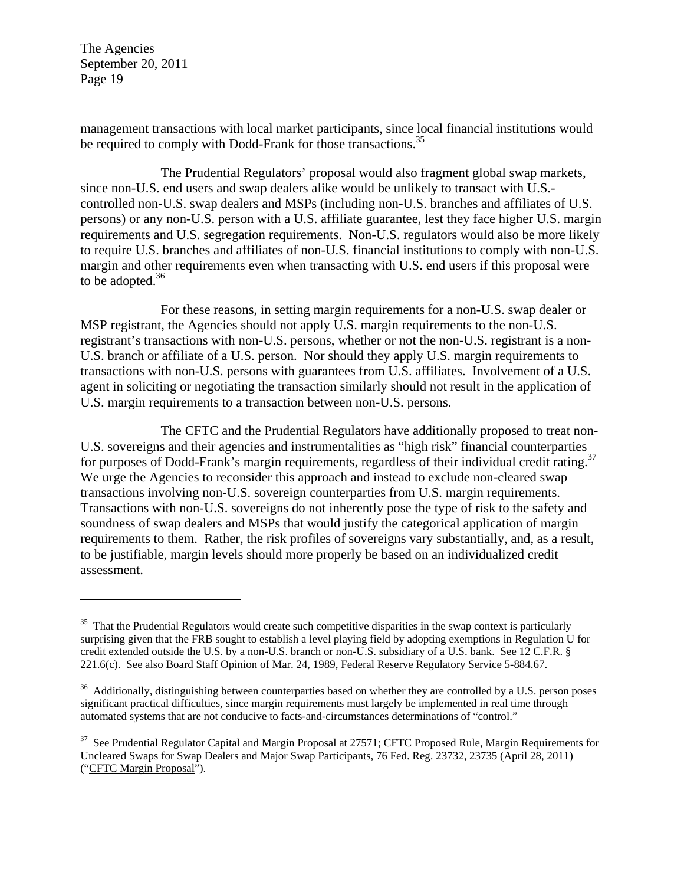<u>.</u>

management transactions with local market participants, since local financial institutions would be required to comply with Dodd-Frank for those transactions.<sup>35</sup>

The Prudential Regulators' proposal would also fragment global swap markets, since non-U.S. end users and swap dealers alike would be unlikely to transact with U.S. controlled non-U.S. swap dealers and MSPs (including non-U.S. branches and affiliates of U.S. persons) or any non-U.S. person with a U.S. affiliate guarantee, lest they face higher U.S. margin requirements and U.S. segregation requirements. Non-U.S. regulators would also be more likely to require U.S. branches and affiliates of non-U.S. financial institutions to comply with non-U.S. margin and other requirements even when transacting with U.S. end users if this proposal were to be adopted. $36$ 

For these reasons, in setting margin requirements for a non-U.S. swap dealer or MSP registrant, the Agencies should not apply U.S. margin requirements to the non-U.S. registrant's transactions with non-U.S. persons, whether or not the non-U.S. registrant is a non-U.S. branch or affiliate of a U.S. person. Nor should they apply U.S. margin requirements to transactions with non-U.S. persons with guarantees from U.S. affiliates. Involvement of a U.S. agent in soliciting or negotiating the transaction similarly should not result in the application of U.S. margin requirements to a transaction between non-U.S. persons.

The CFTC and the Prudential Regulators have additionally proposed to treat non-U.S. sovereigns and their agencies and instrumentalities as "high risk" financial counterparties for purposes of Dodd-Frank's margin requirements, regardless of their individual credit rating.<sup>37</sup> We urge the Agencies to reconsider this approach and instead to exclude non-cleared swap transactions involving non-U.S. sovereign counterparties from U.S. margin requirements. Transactions with non-U.S. sovereigns do not inherently pose the type of risk to the safety and soundness of swap dealers and MSPs that would justify the categorical application of margin requirements to them. Rather, the risk profiles of sovereigns vary substantially, and, as a result, to be justifiable, margin levels should more properly be based on an individualized credit assessment.

 $35$  That the Prudential Regulators would create such competitive disparities in the swap context is particularly surprising given that the FRB sought to establish a level playing field by adopting exemptions in Regulation U for credit extended outside the U.S. by a non-U.S. branch or non-U.S. subsidiary of a U.S. bank. See 12 C.F.R. § 221.6(c). See also Board Staff Opinion of Mar. 24, 1989, Federal Reserve Regulatory Service 5-884.67.

<sup>&</sup>lt;sup>36</sup> Additionally, distinguishing between counterparties based on whether they are controlled by a U.S. person poses significant practical difficulties, since margin requirements must largely be implemented in real time through automated systems that are not conducive to facts-and-circumstances determinations of "control."

<sup>&</sup>lt;sup>37</sup> See Prudential Regulator Capital and Margin Proposal at 27571; CFTC Proposed Rule, Margin Requirements for Uncleared Swaps for Swap Dealers and Major Swap Participants, 76 Fed. Reg. 23732, 23735 (April 28, 2011) ("CFTC Margin Proposal").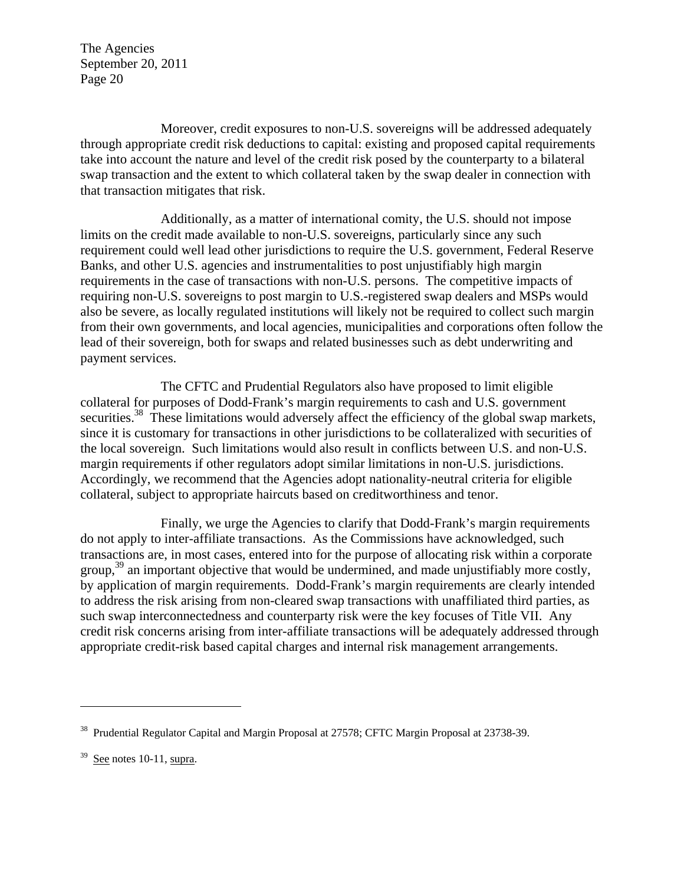Moreover, credit exposures to non-U.S. sovereigns will be addressed adequately through appropriate credit risk deductions to capital: existing and proposed capital requirements take into account the nature and level of the credit risk posed by the counterparty to a bilateral swap transaction and the extent to which collateral taken by the swap dealer in connection with that transaction mitigates that risk.

Additionally, as a matter of international comity, the U.S. should not impose limits on the credit made available to non-U.S. sovereigns, particularly since any such requirement could well lead other jurisdictions to require the U.S. government, Federal Reserve Banks, and other U.S. agencies and instrumentalities to post unjustifiably high margin requirements in the case of transactions with non-U.S. persons. The competitive impacts of requiring non-U.S. sovereigns to post margin to U.S.-registered swap dealers and MSPs would also be severe, as locally regulated institutions will likely not be required to collect such margin from their own governments, and local agencies, municipalities and corporations often follow the lead of their sovereign, both for swaps and related businesses such as debt underwriting and payment services.

The CFTC and Prudential Regulators also have proposed to limit eligible collateral for purposes of Dodd-Frank's margin requirements to cash and U.S. government securities.<sup>38</sup> These limitations would adversely affect the efficiency of the global swap markets, since it is customary for transactions in other jurisdictions to be collateralized with securities of the local sovereign. Such limitations would also result in conflicts between U.S. and non-U.S. margin requirements if other regulators adopt similar limitations in non-U.S. jurisdictions. Accordingly, we recommend that the Agencies adopt nationality-neutral criteria for eligible collateral, subject to appropriate haircuts based on creditworthiness and tenor.

Finally, we urge the Agencies to clarify that Dodd-Frank's margin requirements do not apply to inter-affiliate transactions. As the Commissions have acknowledged, such transactions are, in most cases, entered into for the purpose of allocating risk within a corporate group,  $39$  an important objective that would be undermined, and made unjustifiably more costly, by application of margin requirements. Dodd-Frank's margin requirements are clearly intended to address the risk arising from non-cleared swap transactions with unaffiliated third parties, as such swap interconnectedness and counterparty risk were the key focuses of Title VII. Any credit risk concerns arising from inter-affiliate transactions will be adequately addressed through appropriate credit-risk based capital charges and internal risk management arrangements.

<u>.</u>

<sup>&</sup>lt;sup>38</sup> Prudential Regulator Capital and Margin Proposal at 27578; CFTC Margin Proposal at 23738-39.

 $39$  See notes 10-11, supra.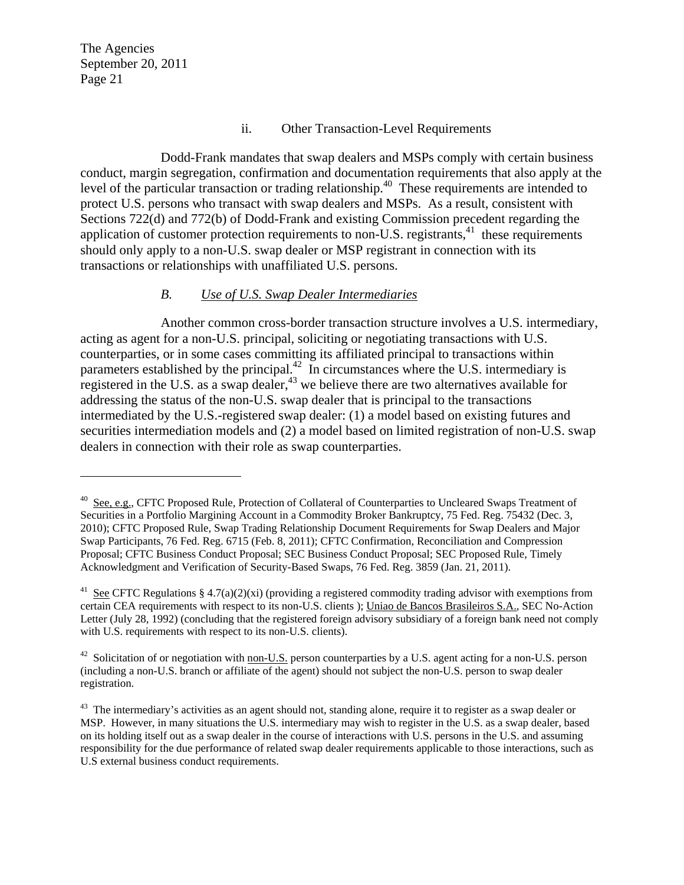$\overline{a}$ 

#### ii. Other Transaction-Level Requirements

Dodd-Frank mandates that swap dealers and MSPs comply with certain business conduct, margin segregation, confirmation and documentation requirements that also apply at the level of the particular transaction or trading relationship.<sup>40</sup> These requirements are intended to protect U.S. persons who transact with swap dealers and MSPs. As a result, consistent with Sections 722(d) and 772(b) of Dodd-Frank and existing Commission precedent regarding the application of customer protection requirements to non-U.S. registrants, $41$  these requirements should only apply to a non-U.S. swap dealer or MSP registrant in connection with its transactions or relationships with unaffiliated U.S. persons.

### *B. Use of U.S. Swap Dealer Intermediaries*

Another common cross-border transaction structure involves a U.S. intermediary, acting as agent for a non-U.S. principal, soliciting or negotiating transactions with U.S. counterparties, or in some cases committing its affiliated principal to transactions within parameters established by the principal.<sup>42</sup> In circumstances where the U.S. intermediary is registered in the U.S. as a swap dealer,  $43$  we believe there are two alternatives available for addressing the status of the non-U.S. swap dealer that is principal to the transactions intermediated by the U.S.-registered swap dealer: (1) a model based on existing futures and securities intermediation models and (2) a model based on limited registration of non-U.S. swap dealers in connection with their role as swap counterparties.

<sup>40</sup> See, e.g., CFTC Proposed Rule, Protection of Collateral of Counterparties to Uncleared Swaps Treatment of Securities in a Portfolio Margining Account in a Commodity Broker Bankruptcy, 75 Fed. Reg. 75432 (Dec. 3, 2010); CFTC Proposed Rule, Swap Trading Relationship Document Requirements for Swap Dealers and Major Swap Participants, 76 Fed. Reg. 6715 (Feb. 8, 2011); CFTC Confirmation, Reconciliation and Compression Proposal; CFTC Business Conduct Proposal; SEC Business Conduct Proposal; SEC Proposed Rule, Timely Acknowledgment and Verification of Security-Based Swaps, 76 Fed. Reg. 3859 (Jan. 21, 2011).

<sup>&</sup>lt;sup>41</sup> See CFTC Regulations § 4.7(a)(2)(xi) (providing a registered commodity trading advisor with exemptions from certain CEA requirements with respect to its non-U.S. clients ); Uniao de Bancos Brasileiros S.A., SEC No-Action Letter (July 28, 1992) (concluding that the registered foreign advisory subsidiary of a foreign bank need not comply with U.S. requirements with respect to its non-U.S. clients).

 $42$  Solicitation of or negotiation with non-U.S. person counterparties by a U.S. agent acting for a non-U.S. person (including a non-U.S. branch or affiliate of the agent) should not subject the non-U.S. person to swap dealer registration.

<sup>&</sup>lt;sup>43</sup> The intermediary's activities as an agent should not, standing alone, require it to register as a swap dealer or MSP. However, in many situations the U.S. intermediary may wish to register in the U.S. as a swap dealer, based on its holding itself out as a swap dealer in the course of interactions with U.S. persons in the U.S. and assuming responsibility for the due performance of related swap dealer requirements applicable to those interactions, such as U.S external business conduct requirements.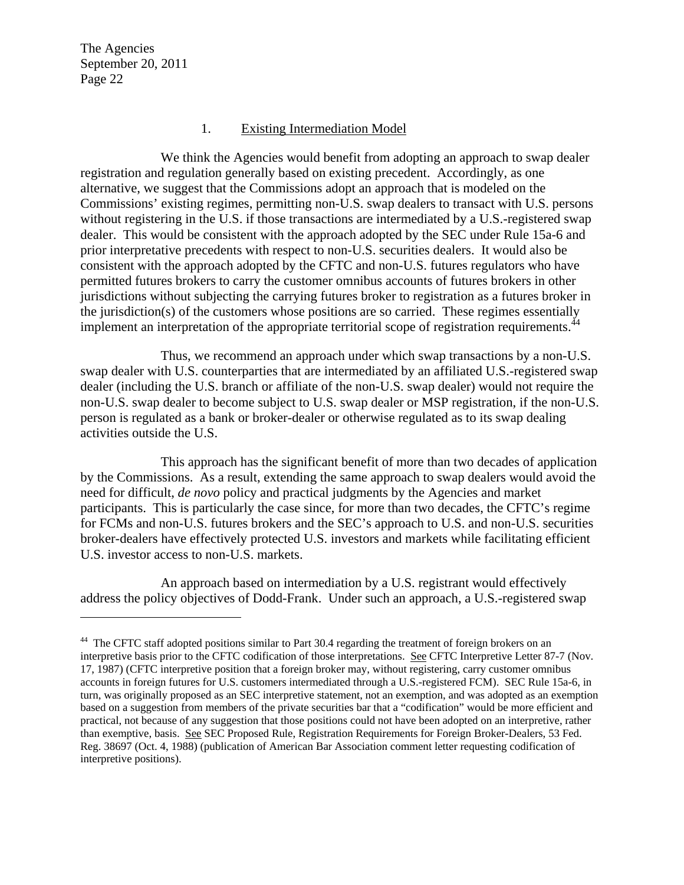1

#### 1. Existing Intermediation Model

We think the Agencies would benefit from adopting an approach to swap dealer registration and regulation generally based on existing precedent. Accordingly, as one alternative, we suggest that the Commissions adopt an approach that is modeled on the Commissions' existing regimes, permitting non-U.S. swap dealers to transact with U.S. persons without registering in the U.S. if those transactions are intermediated by a U.S.-registered swap dealer. This would be consistent with the approach adopted by the SEC under Rule 15a-6 and prior interpretative precedents with respect to non-U.S. securities dealers. It would also be consistent with the approach adopted by the CFTC and non-U.S. futures regulators who have permitted futures brokers to carry the customer omnibus accounts of futures brokers in other jurisdictions without subjecting the carrying futures broker to registration as a futures broker in the jurisdiction(s) of the customers whose positions are so carried. These regimes essentially implement an interpretation of the appropriate territorial scope of registration requirements.<sup>4</sup>

Thus, we recommend an approach under which swap transactions by a non-U.S. swap dealer with U.S. counterparties that are intermediated by an affiliated U.S.-registered swap dealer (including the U.S. branch or affiliate of the non-U.S. swap dealer) would not require the non-U.S. swap dealer to become subject to U.S. swap dealer or MSP registration, if the non-U.S. person is regulated as a bank or broker-dealer or otherwise regulated as to its swap dealing activities outside the U.S.

This approach has the significant benefit of more than two decades of application by the Commissions. As a result, extending the same approach to swap dealers would avoid the need for difficult, *de novo* policy and practical judgments by the Agencies and market participants. This is particularly the case since, for more than two decades, the CFTC's regime for FCMs and non-U.S. futures brokers and the SEC's approach to U.S. and non-U.S. securities broker-dealers have effectively protected U.S. investors and markets while facilitating efficient U.S. investor access to non-U.S. markets.

An approach based on intermediation by a U.S. registrant would effectively address the policy objectives of Dodd-Frank. Under such an approach, a U.S.-registered swap

<sup>&</sup>lt;sup>44</sup> The CFTC staff adopted positions similar to Part 30.4 regarding the treatment of foreign brokers on an interpretive basis prior to the CFTC codification of those interpretations. See CFTC Interpretive Letter 87-7 (Nov. 17, 1987) (CFTC interpretive position that a foreign broker may, without registering, carry customer omnibus accounts in foreign futures for U.S. customers intermediated through a U.S.-registered FCM). SEC Rule 15a-6, in turn, was originally proposed as an SEC interpretive statement, not an exemption, and was adopted as an exemption based on a suggestion from members of the private securities bar that a "codification" would be more efficient and practical, not because of any suggestion that those positions could not have been adopted on an interpretive, rather than exemptive, basis. See SEC Proposed Rule, Registration Requirements for Foreign Broker-Dealers, 53 Fed. Reg. 38697 (Oct. 4, 1988) (publication of American Bar Association comment letter requesting codification of interpretive positions).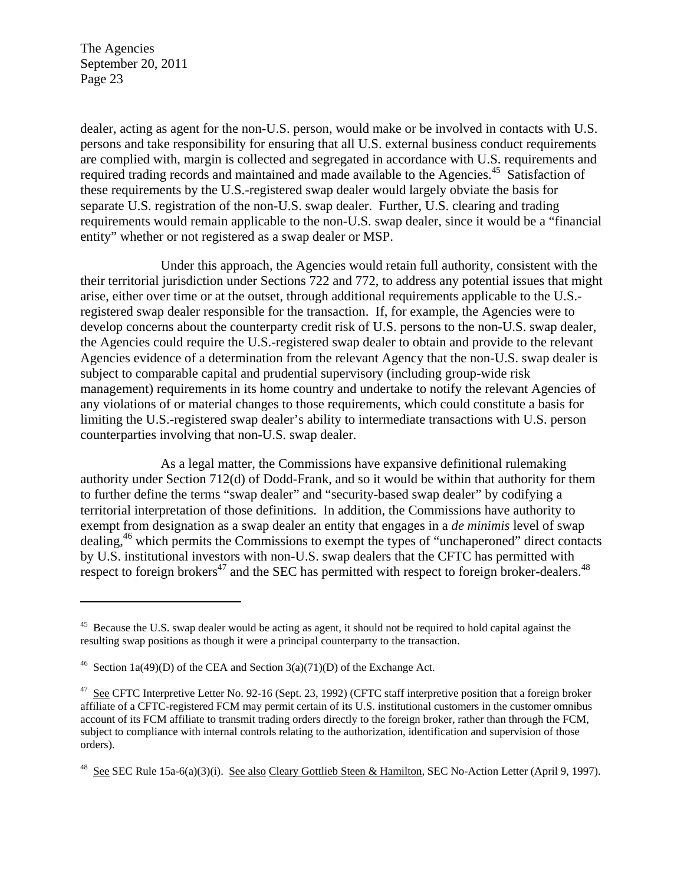1

dealer, acting as agent for the non-U.S. person, would make or be involved in contacts with U.S. persons and take responsibility for ensuring that all U.S. external business conduct requirements are complied with, margin is collected and segregated in accordance with U.S. requirements and required trading records and maintained and made available to the Agencies.<sup>45</sup> Satisfaction of these requirements by the U.S.-registered swap dealer would largely obviate the basis for separate U.S. registration of the non-U.S. swap dealer. Further, U.S. clearing and trading requirements would remain applicable to the non-U.S. swap dealer, since it would be a "financial entity" whether or not registered as a swap dealer or MSP.

Under this approach, the Agencies would retain full authority, consistent with the their territorial jurisdiction under Sections 722 and 772, to address any potential issues that might arise, either over time or at the outset, through additional requirements applicable to the U.S. registered swap dealer responsible for the transaction. If, for example, the Agencies were to develop concerns about the counterparty credit risk of U.S. persons to the non-U.S. swap dealer, the Agencies could require the U.S.-registered swap dealer to obtain and provide to the relevant Agencies evidence of a determination from the relevant Agency that the non-U.S. swap dealer is subject to comparable capital and prudential supervisory (including group-wide risk management) requirements in its home country and undertake to notify the relevant Agencies of any violations of or material changes to those requirements, which could constitute a basis for limiting the U.S.-registered swap dealer's ability to intermediate transactions with U.S. person counterparties involving that non-U.S. swap dealer.

As a legal matter, the Commissions have expansive definitional rulemaking authority under Section 712(d) of Dodd-Frank, and so it would be within that authority for them to further define the terms "swap dealer" and "security-based swap dealer" by codifying a territorial interpretation of those definitions. In addition, the Commissions have authority to exempt from designation as a swap dealer an entity that engages in a *de minimis* level of swap dealing,<sup>46</sup> which permits the Commissions to exempt the types of "unchaperoned" direct contacts by U.S. institutional investors with non-U.S. swap dealers that the CFTC has permitted with respect to foreign brokers<sup>47</sup> and the SEC has permitted with respect to foreign broker-dealers.<sup>48</sup>

<sup>&</sup>lt;sup>45</sup> Because the U.S. swap dealer would be acting as agent, it should not be required to hold capital against the resulting swap positions as though it were a principal counterparty to the transaction.

<sup>&</sup>lt;sup>46</sup> Section 1a(49)(D) of the CEA and Section 3(a)(71)(D) of the Exchange Act.

<sup>&</sup>lt;sup>47</sup> See CFTC Interpretive Letter No. 92-16 (Sept. 23, 1992) (CFTC staff interpretive position that a foreign broker affiliate of a CFTC-registered FCM may permit certain of its U.S. institutional customers in the customer omnibus account of its FCM affiliate to transmit trading orders directly to the foreign broker, rather than through the FCM, subject to compliance with internal controls relating to the authorization, identification and supervision of those orders).

<sup>&</sup>lt;sup>48</sup> See SEC Rule 15a-6(a)(3)(i). See also Cleary Gottlieb Steen & Hamilton, SEC No-Action Letter (April 9, 1997).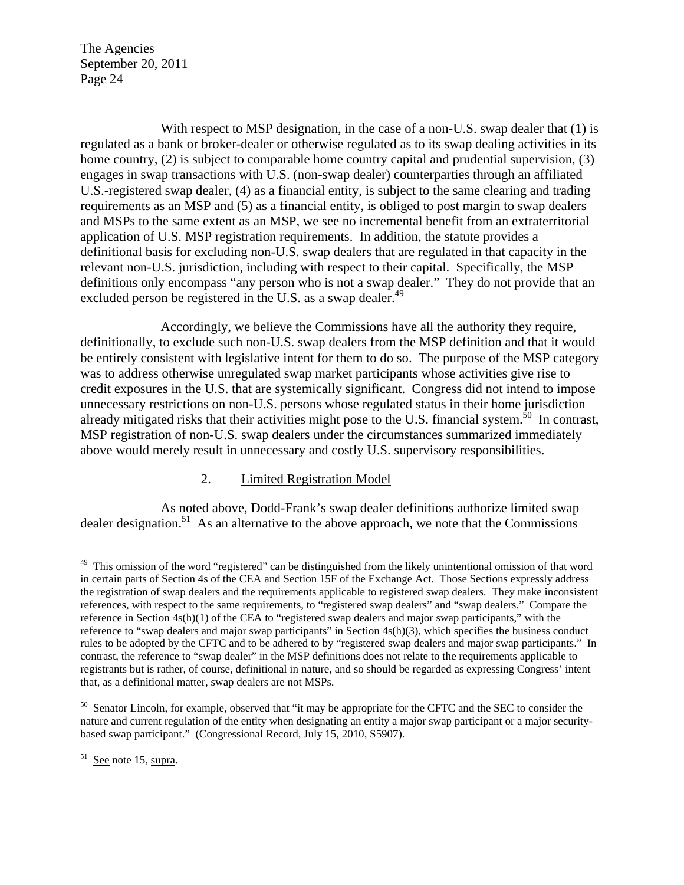With respect to MSP designation, in the case of a non-U.S. swap dealer that (1) is regulated as a bank or broker-dealer or otherwise regulated as to its swap dealing activities in its home country, (2) is subject to comparable home country capital and prudential supervision, (3) engages in swap transactions with U.S. (non-swap dealer) counterparties through an affiliated U.S.-registered swap dealer, (4) as a financial entity, is subject to the same clearing and trading requirements as an MSP and (5) as a financial entity, is obliged to post margin to swap dealers and MSPs to the same extent as an MSP, we see no incremental benefit from an extraterritorial application of U.S. MSP registration requirements. In addition, the statute provides a definitional basis for excluding non-U.S. swap dealers that are regulated in that capacity in the relevant non-U.S. jurisdiction, including with respect to their capital. Specifically, the MSP definitions only encompass "any person who is not a swap dealer." They do not provide that an excluded person be registered in the U.S. as a swap dealer.<sup>49</sup>

Accordingly, we believe the Commissions have all the authority they require, definitionally, to exclude such non-U.S. swap dealers from the MSP definition and that it would be entirely consistent with legislative intent for them to do so. The purpose of the MSP category was to address otherwise unregulated swap market participants whose activities give rise to credit exposures in the U.S. that are systemically significant. Congress did not intend to impose unnecessary restrictions on non-U.S. persons whose regulated status in their home jurisdiction already mitigated risks that their activities might pose to the U.S. financial system.<sup>50</sup> In contrast, MSP registration of non-U.S. swap dealers under the circumstances summarized immediately above would merely result in unnecessary and costly U.S. supervisory responsibilities.

#### 2. Limited Registration Model

As noted above, Dodd-Frank's swap dealer definitions authorize limited swap dealer designation.<sup>51</sup> As an alternative to the above approach, we note that the Commissions

 $51$  See note 15, supra.

 $\overline{a}$ 

<sup>&</sup>lt;sup>49</sup> This omission of the word "registered" can be distinguished from the likely unintentional omission of that word in certain parts of Section 4s of the CEA and Section 15F of the Exchange Act. Those Sections expressly address the registration of swap dealers and the requirements applicable to registered swap dealers. They make inconsistent references, with respect to the same requirements, to "registered swap dealers" and "swap dealers." Compare the reference in Section 4s(h)(1) of the CEA to "registered swap dealers and major swap participants," with the reference to "swap dealers and major swap participants" in Section 4s(h)(3), which specifies the business conduct rules to be adopted by the CFTC and to be adhered to by "registered swap dealers and major swap participants." In contrast, the reference to "swap dealer" in the MSP definitions does not relate to the requirements applicable to registrants but is rather, of course, definitional in nature, and so should be regarded as expressing Congress' intent that, as a definitional matter, swap dealers are not MSPs.

<sup>&</sup>lt;sup>50</sup> Senator Lincoln, for example, observed that "it may be appropriate for the CFTC and the SEC to consider the nature and current regulation of the entity when designating an entity a major swap participant or a major securitybased swap participant." (Congressional Record, July 15, 2010, S5907).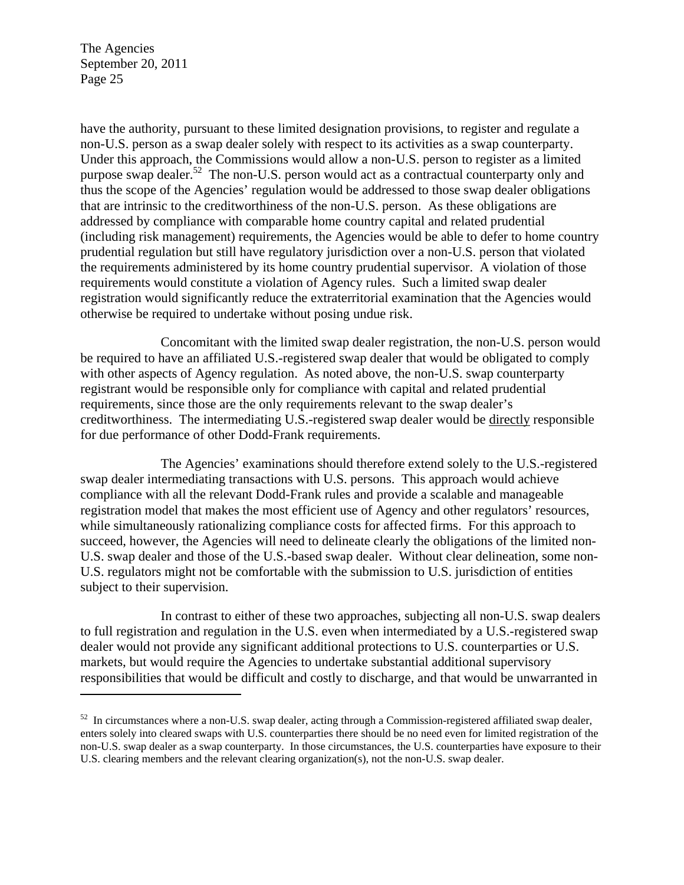$\overline{a}$ 

have the authority, pursuant to these limited designation provisions, to register and regulate a non-U.S. person as a swap dealer solely with respect to its activities as a swap counterparty. Under this approach, the Commissions would allow a non-U.S. person to register as a limited purpose swap dealer.<sup>52</sup> The non-U.S. person would act as a contractual counterparty only and thus the scope of the Agencies' regulation would be addressed to those swap dealer obligations that are intrinsic to the creditworthiness of the non-U.S. person. As these obligations are addressed by compliance with comparable home country capital and related prudential (including risk management) requirements, the Agencies would be able to defer to home country prudential regulation but still have regulatory jurisdiction over a non-U.S. person that violated the requirements administered by its home country prudential supervisor. A violation of those requirements would constitute a violation of Agency rules. Such a limited swap dealer registration would significantly reduce the extraterritorial examination that the Agencies would otherwise be required to undertake without posing undue risk.

Concomitant with the limited swap dealer registration, the non-U.S. person would be required to have an affiliated U.S.-registered swap dealer that would be obligated to comply with other aspects of Agency regulation. As noted above, the non-U.S. swap counterparty registrant would be responsible only for compliance with capital and related prudential requirements, since those are the only requirements relevant to the swap dealer's creditworthiness. The intermediating U.S.-registered swap dealer would be directly responsible for due performance of other Dodd-Frank requirements.

The Agencies' examinations should therefore extend solely to the U.S.-registered swap dealer intermediating transactions with U.S. persons. This approach would achieve compliance with all the relevant Dodd-Frank rules and provide a scalable and manageable registration model that makes the most efficient use of Agency and other regulators' resources, while simultaneously rationalizing compliance costs for affected firms. For this approach to succeed, however, the Agencies will need to delineate clearly the obligations of the limited non-U.S. swap dealer and those of the U.S.-based swap dealer. Without clear delineation, some non-U.S. regulators might not be comfortable with the submission to U.S. jurisdiction of entities subject to their supervision.

In contrast to either of these two approaches, subjecting all non-U.S. swap dealers to full registration and regulation in the U.S. even when intermediated by a U.S.-registered swap dealer would not provide any significant additional protections to U.S. counterparties or U.S. markets, but would require the Agencies to undertake substantial additional supervisory responsibilities that would be difficult and costly to discharge, and that would be unwarranted in

<sup>&</sup>lt;sup>52</sup> In circumstances where a non-U.S. swap dealer, acting through a Commission-registered affiliated swap dealer, enters solely into cleared swaps with U.S. counterparties there should be no need even for limited registration of the non-U.S. swap dealer as a swap counterparty. In those circumstances, the U.S. counterparties have exposure to their U.S. clearing members and the relevant clearing organization(s), not the non-U.S. swap dealer.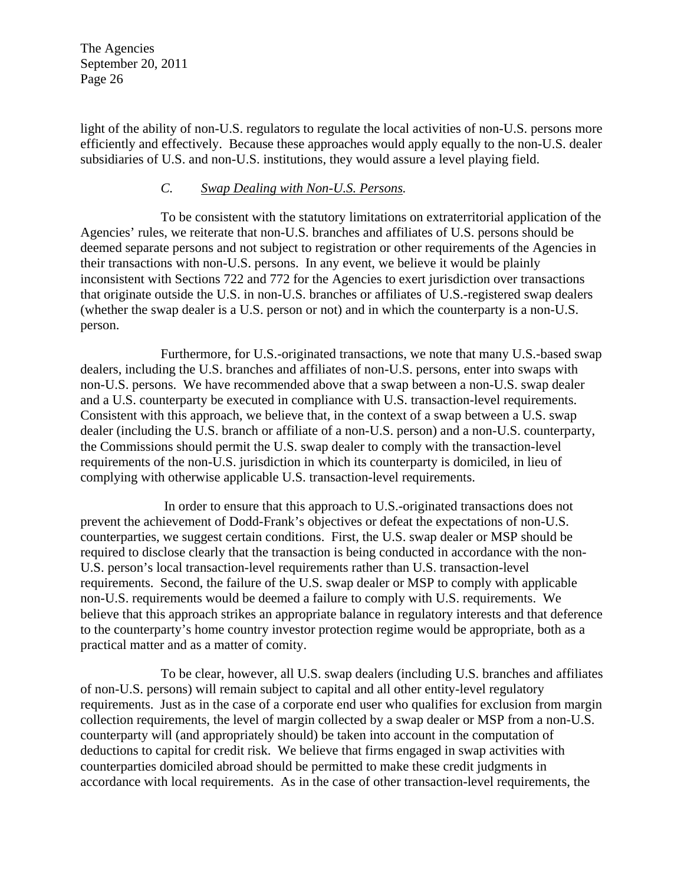light of the ability of non-U.S. regulators to regulate the local activities of non-U.S. persons more efficiently and effectively. Because these approaches would apply equally to the non-U.S. dealer subsidiaries of U.S. and non-U.S. institutions, they would assure a level playing field.

### *C. Swap Dealing with Non-U.S. Persons.*

To be consistent with the statutory limitations on extraterritorial application of the Agencies' rules, we reiterate that non-U.S. branches and affiliates of U.S. persons should be deemed separate persons and not subject to registration or other requirements of the Agencies in their transactions with non-U.S. persons. In any event, we believe it would be plainly inconsistent with Sections 722 and 772 for the Agencies to exert jurisdiction over transactions that originate outside the U.S. in non-U.S. branches or affiliates of U.S.-registered swap dealers (whether the swap dealer is a U.S. person or not) and in which the counterparty is a non-U.S. person.

Furthermore, for U.S.-originated transactions, we note that many U.S.-based swap dealers, including the U.S. branches and affiliates of non-U.S. persons, enter into swaps with non-U.S. persons. We have recommended above that a swap between a non-U.S. swap dealer and a U.S. counterparty be executed in compliance with U.S. transaction-level requirements. Consistent with this approach, we believe that, in the context of a swap between a U.S. swap dealer (including the U.S. branch or affiliate of a non-U.S. person) and a non-U.S. counterparty, the Commissions should permit the U.S. swap dealer to comply with the transaction-level requirements of the non-U.S. jurisdiction in which its counterparty is domiciled, in lieu of complying with otherwise applicable U.S. transaction-level requirements.

 In order to ensure that this approach to U.S.-originated transactions does not prevent the achievement of Dodd-Frank's objectives or defeat the expectations of non-U.S. counterparties, we suggest certain conditions. First, the U.S. swap dealer or MSP should be required to disclose clearly that the transaction is being conducted in accordance with the non-U.S. person's local transaction-level requirements rather than U.S. transaction-level requirements. Second, the failure of the U.S. swap dealer or MSP to comply with applicable non-U.S. requirements would be deemed a failure to comply with U.S. requirements. We believe that this approach strikes an appropriate balance in regulatory interests and that deference to the counterparty's home country investor protection regime would be appropriate, both as a practical matter and as a matter of comity.

To be clear, however, all U.S. swap dealers (including U.S. branches and affiliates of non-U.S. persons) will remain subject to capital and all other entity-level regulatory requirements. Just as in the case of a corporate end user who qualifies for exclusion from margin collection requirements, the level of margin collected by a swap dealer or MSP from a non-U.S. counterparty will (and appropriately should) be taken into account in the computation of deductions to capital for credit risk. We believe that firms engaged in swap activities with counterparties domiciled abroad should be permitted to make these credit judgments in accordance with local requirements. As in the case of other transaction-level requirements, the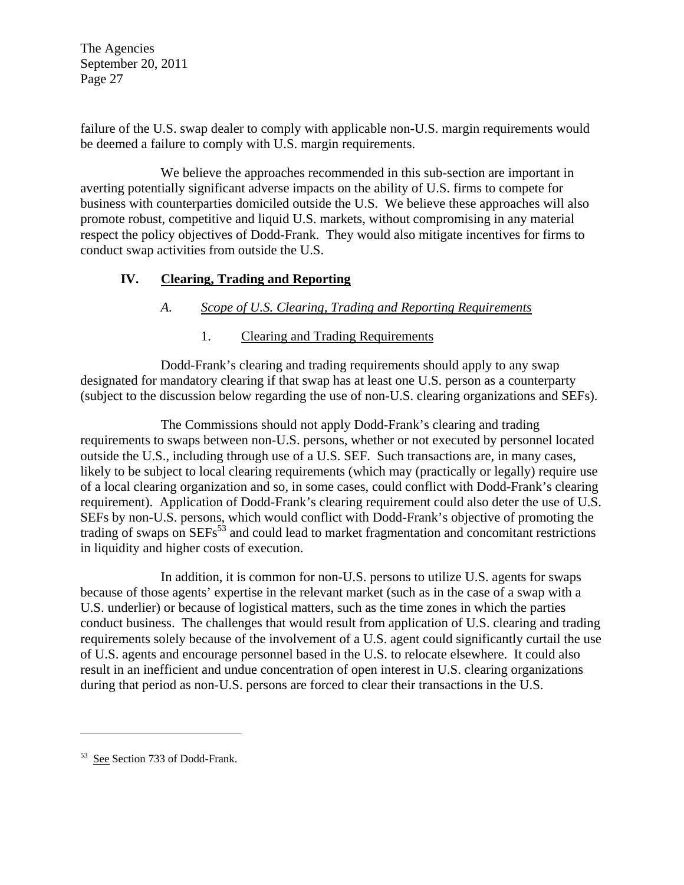failure of the U.S. swap dealer to comply with applicable non-U.S. margin requirements would be deemed a failure to comply with U.S. margin requirements.

We believe the approaches recommended in this sub-section are important in averting potentially significant adverse impacts on the ability of U.S. firms to compete for business with counterparties domiciled outside the U.S. We believe these approaches will also promote robust, competitive and liquid U.S. markets, without compromising in any material respect the policy objectives of Dodd-Frank. They would also mitigate incentives for firms to conduct swap activities from outside the U.S.

## **IV. Clearing, Trading and Reporting**

## *A. Scope of U.S. Clearing, Trading and Reporting Requirements*

## 1. Clearing and Trading Requirements

Dodd-Frank's clearing and trading requirements should apply to any swap designated for mandatory clearing if that swap has at least one U.S. person as a counterparty (subject to the discussion below regarding the use of non-U.S. clearing organizations and SEFs).

The Commissions should not apply Dodd-Frank's clearing and trading requirements to swaps between non-U.S. persons, whether or not executed by personnel located outside the U.S., including through use of a U.S. SEF. Such transactions are, in many cases, likely to be subject to local clearing requirements (which may (practically or legally) require use of a local clearing organization and so, in some cases, could conflict with Dodd-Frank's clearing requirement). Application of Dodd-Frank's clearing requirement could also deter the use of U.S. SEFs by non-U.S. persons, which would conflict with Dodd-Frank's objective of promoting the trading of swaps on SEFs<sup>53</sup> and could lead to market fragmentation and concomitant restrictions in liquidity and higher costs of execution.

In addition, it is common for non-U.S. persons to utilize U.S. agents for swaps because of those agents' expertise in the relevant market (such as in the case of a swap with a U.S. underlier) or because of logistical matters, such as the time zones in which the parties conduct business. The challenges that would result from application of U.S. clearing and trading requirements solely because of the involvement of a U.S. agent could significantly curtail the use of U.S. agents and encourage personnel based in the U.S. to relocate elsewhere. It could also result in an inefficient and undue concentration of open interest in U.S. clearing organizations during that period as non-U.S. persons are forced to clear their transactions in the U.S.

 $\overline{a}$ 

<sup>53</sup> See Section 733 of Dodd-Frank.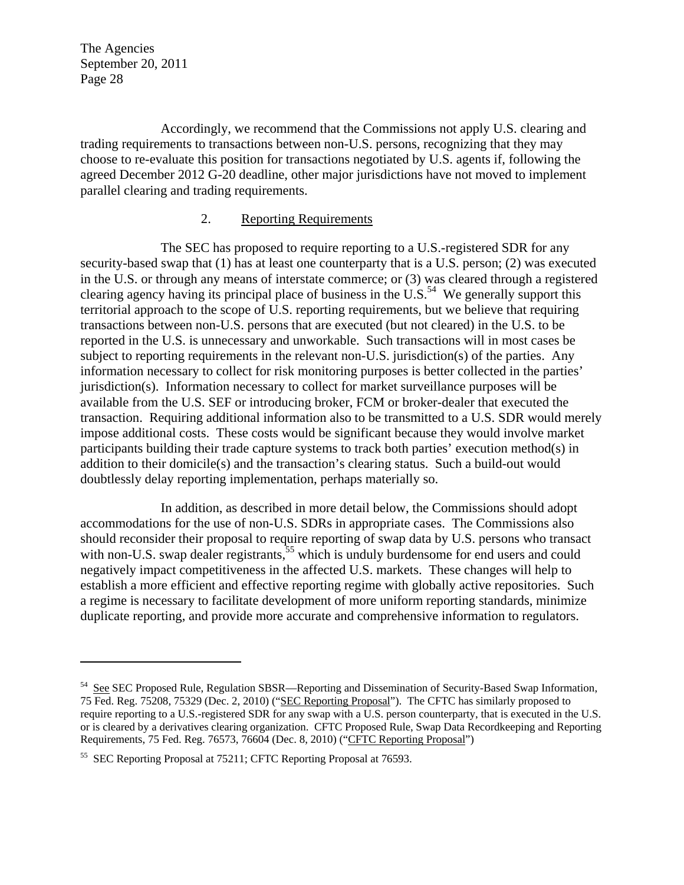$\overline{a}$ 

Accordingly, we recommend that the Commissions not apply U.S. clearing and trading requirements to transactions between non-U.S. persons, recognizing that they may choose to re-evaluate this position for transactions negotiated by U.S. agents if, following the agreed December 2012 G-20 deadline, other major jurisdictions have not moved to implement parallel clearing and trading requirements.

#### 2. Reporting Requirements

The SEC has proposed to require reporting to a U.S.-registered SDR for any security-based swap that (1) has at least one counterparty that is a U.S. person; (2) was executed in the U.S. or through any means of interstate commerce; or (3) was cleared through a registered clearing agency having its principal place of business in the U.S.<sup>54</sup> We generally support this territorial approach to the scope of U.S. reporting requirements, but we believe that requiring transactions between non-U.S. persons that are executed (but not cleared) in the U.S. to be reported in the U.S. is unnecessary and unworkable. Such transactions will in most cases be subject to reporting requirements in the relevant non-U.S. jurisdiction(s) of the parties. Any information necessary to collect for risk monitoring purposes is better collected in the parties' jurisdiction(s). Information necessary to collect for market surveillance purposes will be available from the U.S. SEF or introducing broker, FCM or broker-dealer that executed the transaction. Requiring additional information also to be transmitted to a U.S. SDR would merely impose additional costs. These costs would be significant because they would involve market participants building their trade capture systems to track both parties' execution method(s) in addition to their domicile(s) and the transaction's clearing status. Such a build-out would doubtlessly delay reporting implementation, perhaps materially so.

In addition, as described in more detail below, the Commissions should adopt accommodations for the use of non-U.S. SDRs in appropriate cases. The Commissions also should reconsider their proposal to require reporting of swap data by U.S. persons who transact with non-U.S. swap dealer registrants,<sup>55</sup> which is unduly burdensome for end users and could negatively impact competitiveness in the affected U.S. markets. These changes will help to establish a more efficient and effective reporting regime with globally active repositories. Such a regime is necessary to facilitate development of more uniform reporting standards, minimize duplicate reporting, and provide more accurate and comprehensive information to regulators.

<sup>54</sup> See SEC Proposed Rule, Regulation SBSR—Reporting and Dissemination of Security-Based Swap Information, 75 Fed. Reg. 75208, 75329 (Dec. 2, 2010) ("SEC Reporting Proposal"). The CFTC has similarly proposed to require reporting to a U.S.-registered SDR for any swap with a U.S. person counterparty, that is executed in the U.S. or is cleared by a derivatives clearing organization. CFTC Proposed Rule, Swap Data Recordkeeping and Reporting Requirements, 75 Fed. Reg. 76573, 76604 (Dec. 8, 2010) ("CFTC Reporting Proposal")

<sup>55</sup> SEC Reporting Proposal at 75211; CFTC Reporting Proposal at 76593.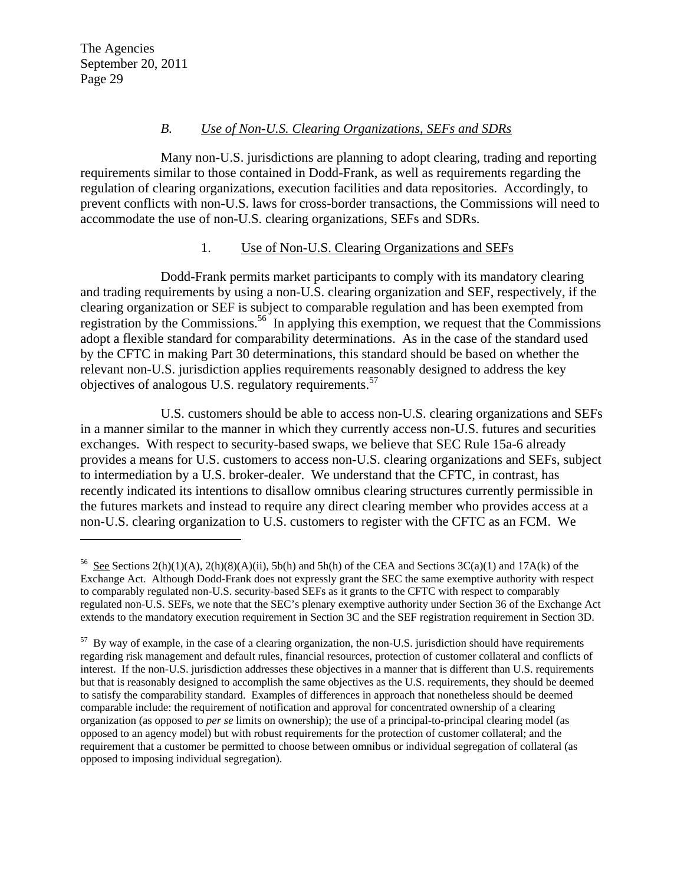$\overline{a}$ 

### *B. Use of Non-U.S. Clearing Organizations, SEFs and SDRs*

Many non-U.S. jurisdictions are planning to adopt clearing, trading and reporting requirements similar to those contained in Dodd-Frank, as well as requirements regarding the regulation of clearing organizations, execution facilities and data repositories. Accordingly, to prevent conflicts with non-U.S. laws for cross-border transactions, the Commissions will need to accommodate the use of non-U.S. clearing organizations, SEFs and SDRs.

### 1. Use of Non-U.S. Clearing Organizations and SEFs

Dodd-Frank permits market participants to comply with its mandatory clearing and trading requirements by using a non-U.S. clearing organization and SEF, respectively, if the clearing organization or SEF is subject to comparable regulation and has been exempted from registration by the Commissions.<sup>56</sup> In applying this exemption, we request that the Commissions adopt a flexible standard for comparability determinations. As in the case of the standard used by the CFTC in making Part 30 determinations, this standard should be based on whether the relevant non-U.S. jurisdiction applies requirements reasonably designed to address the key objectives of analogous U.S. regulatory requirements.<sup>57</sup>

U.S. customers should be able to access non-U.S. clearing organizations and SEFs in a manner similar to the manner in which they currently access non-U.S. futures and securities exchanges. With respect to security-based swaps, we believe that SEC Rule 15a-6 already provides a means for U.S. customers to access non-U.S. clearing organizations and SEFs, subject to intermediation by a U.S. broker-dealer. We understand that the CFTC, in contrast, has recently indicated its intentions to disallow omnibus clearing structures currently permissible in the futures markets and instead to require any direct clearing member who provides access at a non-U.S. clearing organization to U.S. customers to register with the CFTC as an FCM. We

<sup>&</sup>lt;sup>56</sup> See Sections 2(h)(1)(A), 2(h)(8)(A)(ii), 5b(h) and 5h(h) of the CEA and Sections  $3C(a)(1)$  and  $17A(k)$  of the Exchange Act. Although Dodd-Frank does not expressly grant the SEC the same exemptive authority with respect to comparably regulated non-U.S. security-based SEFs as it grants to the CFTC with respect to comparably regulated non-U.S. SEFs, we note that the SEC's plenary exemptive authority under Section 36 of the Exchange Act extends to the mandatory execution requirement in Section 3C and the SEF registration requirement in Section 3D.

<sup>&</sup>lt;sup>57</sup> By way of example, in the case of a clearing organization, the non-U.S. jurisdiction should have requirements regarding risk management and default rules, financial resources, protection of customer collateral and conflicts of interest. If the non-U.S. jurisdiction addresses these objectives in a manner that is different than U.S. requirements but that is reasonably designed to accomplish the same objectives as the U.S. requirements, they should be deemed to satisfy the comparability standard. Examples of differences in approach that nonetheless should be deemed comparable include: the requirement of notification and approval for concentrated ownership of a clearing organization (as opposed to *per se* limits on ownership); the use of a principal-to-principal clearing model (as opposed to an agency model) but with robust requirements for the protection of customer collateral; and the requirement that a customer be permitted to choose between omnibus or individual segregation of collateral (as opposed to imposing individual segregation).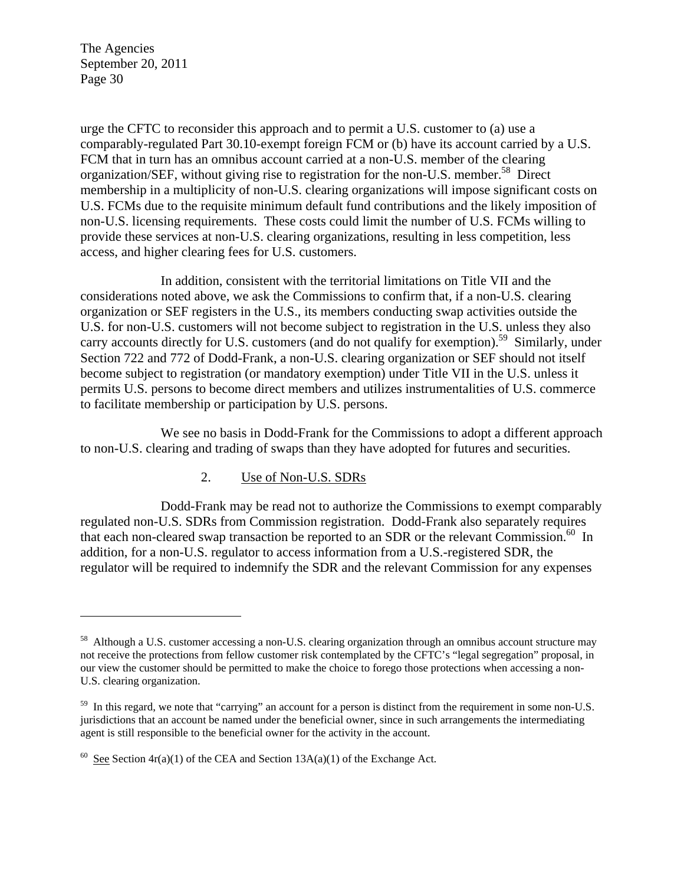1

urge the CFTC to reconsider this approach and to permit a U.S. customer to (a) use a comparably-regulated Part 30.10-exempt foreign FCM or (b) have its account carried by a U.S. FCM that in turn has an omnibus account carried at a non-U.S. member of the clearing organization/SEF, without giving rise to registration for the non-U.S. member.<sup>58</sup> Direct membership in a multiplicity of non-U.S. clearing organizations will impose significant costs on U.S. FCMs due to the requisite minimum default fund contributions and the likely imposition of non-U.S. licensing requirements. These costs could limit the number of U.S. FCMs willing to provide these services at non-U.S. clearing organizations, resulting in less competition, less access, and higher clearing fees for U.S. customers.

In addition, consistent with the territorial limitations on Title VII and the considerations noted above, we ask the Commissions to confirm that, if a non-U.S. clearing organization or SEF registers in the U.S., its members conducting swap activities outside the U.S. for non-U.S. customers will not become subject to registration in the U.S. unless they also carry accounts directly for U.S. customers (and do not qualify for exemption).<sup>59</sup> Similarly, under Section 722 and 772 of Dodd-Frank, a non-U.S. clearing organization or SEF should not itself become subject to registration (or mandatory exemption) under Title VII in the U.S. unless it permits U.S. persons to become direct members and utilizes instrumentalities of U.S. commerce to facilitate membership or participation by U.S. persons.

We see no basis in Dodd-Frank for the Commissions to adopt a different approach to non-U.S. clearing and trading of swaps than they have adopted for futures and securities.

## 2. Use of Non-U.S. SDRs

Dodd-Frank may be read not to authorize the Commissions to exempt comparably regulated non-U.S. SDRs from Commission registration. Dodd-Frank also separately requires that each non-cleared swap transaction be reported to an SDR or the relevant Commission.<sup>60</sup> In addition, for a non-U.S. regulator to access information from a U.S.-registered SDR, the regulator will be required to indemnify the SDR and the relevant Commission for any expenses

<sup>&</sup>lt;sup>58</sup> Although a U.S. customer accessing a non-U.S. clearing organization through an omnibus account structure may not receive the protections from fellow customer risk contemplated by the CFTC's "legal segregation" proposal, in our view the customer should be permitted to make the choice to forego those protections when accessing a non-U.S. clearing organization.

<sup>&</sup>lt;sup>59</sup> In this regard, we note that "carrying" an account for a person is distinct from the requirement in some non-U.S. jurisdictions that an account be named under the beneficial owner, since in such arrangements the intermediating agent is still responsible to the beneficial owner for the activity in the account.

<sup>&</sup>lt;sup>60</sup> See Section  $4r(a)(1)$  of the CEA and Section  $13A(a)(1)$  of the Exchange Act.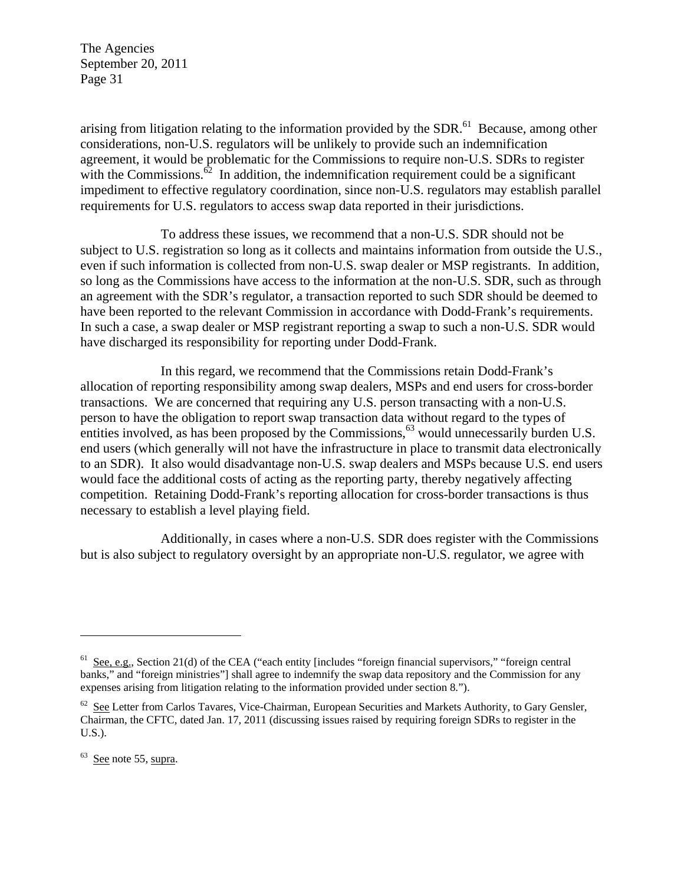arising from litigation relating to the information provided by the SDR.<sup>61</sup> Because, among other considerations, non-U.S. regulators will be unlikely to provide such an indemnification agreement, it would be problematic for the Commissions to require non-U.S. SDRs to register with the Commissions. $62$  In addition, the indemnification requirement could be a significant impediment to effective regulatory coordination, since non-U.S. regulators may establish parallel requirements for U.S. regulators to access swap data reported in their jurisdictions.

To address these issues, we recommend that a non-U.S. SDR should not be subject to U.S. registration so long as it collects and maintains information from outside the U.S., even if such information is collected from non-U.S. swap dealer or MSP registrants. In addition, so long as the Commissions have access to the information at the non-U.S. SDR, such as through an agreement with the SDR's regulator, a transaction reported to such SDR should be deemed to have been reported to the relevant Commission in accordance with Dodd-Frank's requirements. In such a case, a swap dealer or MSP registrant reporting a swap to such a non-U.S. SDR would have discharged its responsibility for reporting under Dodd-Frank.

In this regard, we recommend that the Commissions retain Dodd-Frank's allocation of reporting responsibility among swap dealers, MSPs and end users for cross-border transactions. We are concerned that requiring any U.S. person transacting with a non-U.S. person to have the obligation to report swap transaction data without regard to the types of entities involved, as has been proposed by the Commissions,  $63$  would unnecessarily burden U.S. end users (which generally will not have the infrastructure in place to transmit data electronically to an SDR). It also would disadvantage non-U.S. swap dealers and MSPs because U.S. end users would face the additional costs of acting as the reporting party, thereby negatively affecting competition. Retaining Dodd-Frank's reporting allocation for cross-border transactions is thus necessary to establish a level playing field.

Additionally, in cases where a non-U.S. SDR does register with the Commissions but is also subject to regulatory oversight by an appropriate non-U.S. regulator, we agree with

 $63$  See note 55, supra.

 $\overline{a}$ 

 $61$  See, e.g., Section 21(d) of the CEA ("each entity [includes "foreign financial supervisors," "foreign central banks," and "foreign ministries"] shall agree to indemnify the swap data repository and the Commission for any expenses arising from litigation relating to the information provided under section 8.").

<sup>&</sup>lt;sup>62</sup> See Letter from Carlos Tavares, Vice-Chairman, European Securities and Markets Authority, to Gary Gensler, Chairman, the CFTC, dated Jan. 17, 2011 (discussing issues raised by requiring foreign SDRs to register in the U.S.).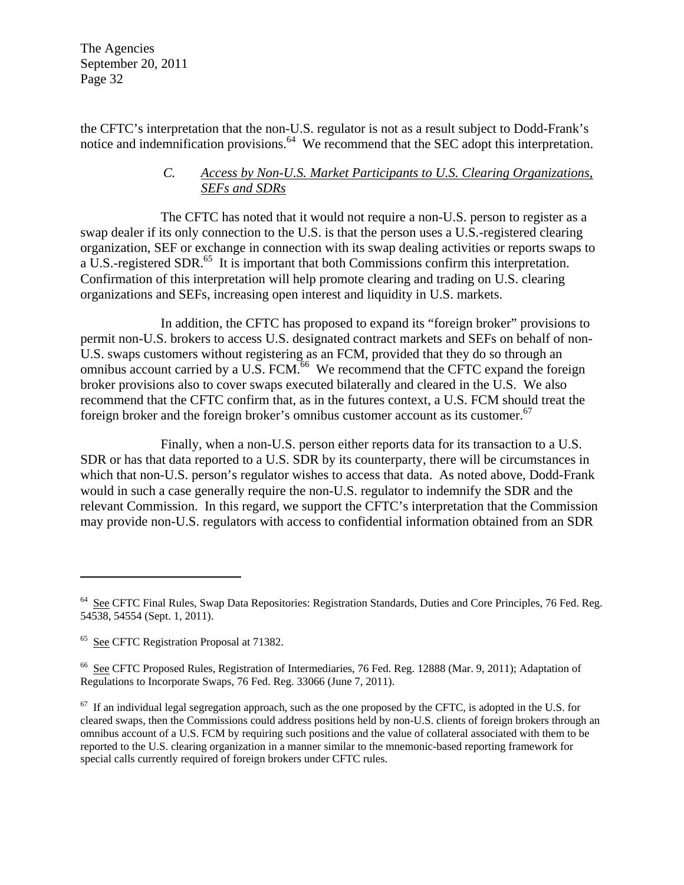the CFTC's interpretation that the non-U.S. regulator is not as a result subject to Dodd-Frank's notice and indemnification provisions.<sup>64</sup> We recommend that the SEC adopt this interpretation.

### *C. Access by Non-U.S. Market Participants to U.S. Clearing Organizations, SEFs and SDRs*

The CFTC has noted that it would not require a non-U.S. person to register as a swap dealer if its only connection to the U.S. is that the person uses a U.S.-registered clearing organization, SEF or exchange in connection with its swap dealing activities or reports swaps to a U.S.-registered SDR.<sup>65</sup> It is important that both Commissions confirm this interpretation. Confirmation of this interpretation will help promote clearing and trading on U.S. clearing organizations and SEFs, increasing open interest and liquidity in U.S. markets.

In addition, the CFTC has proposed to expand its "foreign broker" provisions to permit non-U.S. brokers to access U.S. designated contract markets and SEFs on behalf of non-U.S. swaps customers without registering as an FCM, provided that they do so through an omnibus account carried by a U.S. FCM. $^{66}$  We recommend that the CFTC expand the foreign broker provisions also to cover swaps executed bilaterally and cleared in the U.S. We also recommend that the CFTC confirm that, as in the futures context, a U.S. FCM should treat the foreign broker and the foreign broker's omnibus customer account as its customer.<sup>67</sup>

Finally, when a non-U.S. person either reports data for its transaction to a U.S. SDR or has that data reported to a U.S. SDR by its counterparty, there will be circumstances in which that non-U.S. person's regulator wishes to access that data. As noted above, Dodd-Frank would in such a case generally require the non-U.S. regulator to indemnify the SDR and the relevant Commission. In this regard, we support the CFTC's interpretation that the Commission may provide non-U.S. regulators with access to confidential information obtained from an SDR

1

<sup>&</sup>lt;sup>64</sup> See CFTC Final Rules, Swap Data Repositories: Registration Standards, Duties and Core Principles, 76 Fed. Reg. 54538, 54554 (Sept. 1, 2011).

<sup>&</sup>lt;sup>65</sup> See CFTC Registration Proposal at 71382.

<sup>66</sup> See CFTC Proposed Rules, Registration of Intermediaries, 76 Fed. Reg. 12888 (Mar. 9, 2011); Adaptation of Regulations to Incorporate Swaps, 76 Fed. Reg. 33066 (June 7, 2011).

 $67$  If an individual legal segregation approach, such as the one proposed by the CFTC, is adopted in the U.S. for cleared swaps, then the Commissions could address positions held by non-U.S. clients of foreign brokers through an omnibus account of a U.S. FCM by requiring such positions and the value of collateral associated with them to be reported to the U.S. clearing organization in a manner similar to the mnemonic-based reporting framework for special calls currently required of foreign brokers under CFTC rules.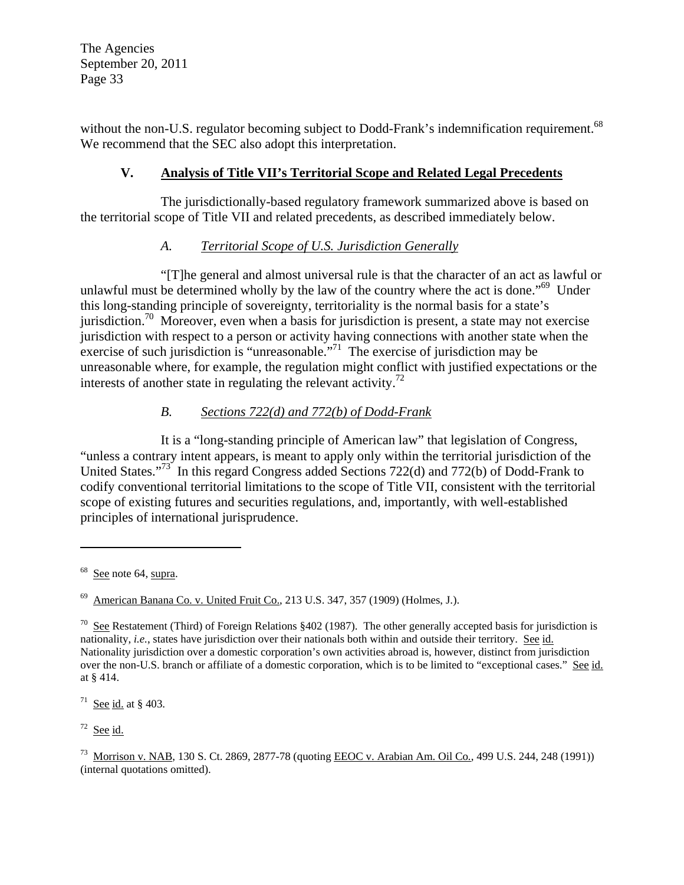without the non-U.S. regulator becoming subject to Dodd-Frank's indemnification requirement.<sup>68</sup> We recommend that the SEC also adopt this interpretation.

## **V. Analysis of Title VII's Territorial Scope and Related Legal Precedents**

The jurisdictionally-based regulatory framework summarized above is based on the territorial scope of Title VII and related precedents, as described immediately below.

## *A. Territorial Scope of U.S. Jurisdiction Generally*

"[T]he general and almost universal rule is that the character of an act as lawful or unlawful must be determined wholly by the law of the country where the act is done."<sup>69</sup> Under this long-standing principle of sovereignty, territoriality is the normal basis for a state's jurisdiction.<sup>70</sup> Moreover, even when a basis for jurisdiction is present, a state may not exercise jurisdiction with respect to a person or activity having connections with another state when the exercise of such jurisdiction is "unreasonable. $^{771}$  The exercise of jurisdiction may be unreasonable where, for example, the regulation might conflict with justified expectations or the interests of another state in regulating the relevant activity.<sup>72</sup>

## *B. Sections 722(d) and 772(b) of Dodd-Frank*

It is a "long-standing principle of American law" that legislation of Congress, "unless a contrary intent appears, is meant to apply only within the territorial jurisdiction of the United States."<sup>73</sup> In this regard Congress added Sections 722(d) and 772(b) of Dodd-Frank to codify conventional territorial limitations to the scope of Title VII, consistent with the territorial scope of existing futures and securities regulations, and, importantly, with well-established principles of international jurisprudence.

 $\overline{a}$ 

<sup>71</sup> See id. at § 403.

 $72$  See id.

See note 64, supra.

<sup>69</sup> American Banana Co. v. United Fruit Co., 213 U.S. 347, 357 (1909) (Holmes, J.).

<sup>&</sup>lt;sup>70</sup> See Restatement (Third) of Foreign Relations §402 (1987). The other generally accepted basis for jurisdiction is nationality, *i.e.*, states have jurisdiction over their nationals both within and outside their territory. See id. Nationality jurisdiction over a domestic corporation's own activities abroad is, however, distinct from jurisdiction over the non-U.S. branch or affiliate of a domestic corporation, which is to be limited to "exceptional cases." See id. at § 414.

<sup>73</sup> Morrison v. NAB, 130 S. Ct. 2869, 2877-78 (quoting EEOC v. Arabian Am. Oil Co*.*, 499 U.S. 244, 248 (1991)) (internal quotations omitted).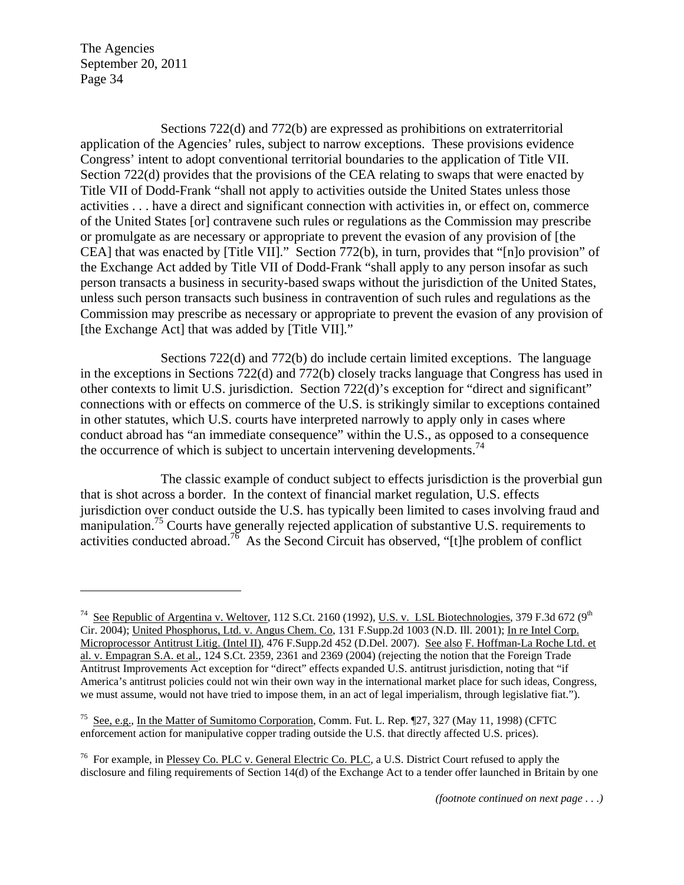$\overline{a}$ 

Sections 722(d) and 772(b) are expressed as prohibitions on extraterritorial application of the Agencies' rules, subject to narrow exceptions. These provisions evidence Congress' intent to adopt conventional territorial boundaries to the application of Title VII. Section 722(d) provides that the provisions of the CEA relating to swaps that were enacted by Title VII of Dodd-Frank "shall not apply to activities outside the United States unless those activities . . . have a direct and significant connection with activities in, or effect on, commerce of the United States [or] contravene such rules or regulations as the Commission may prescribe or promulgate as are necessary or appropriate to prevent the evasion of any provision of [the CEA] that was enacted by [Title VII]." Section 772(b), in turn, provides that "[n]o provision" of the Exchange Act added by Title VII of Dodd-Frank "shall apply to any person insofar as such person transacts a business in security-based swaps without the jurisdiction of the United States, unless such person transacts such business in contravention of such rules and regulations as the Commission may prescribe as necessary or appropriate to prevent the evasion of any provision of [the Exchange Act] that was added by [Title VII]."

Sections 722(d) and 772(b) do include certain limited exceptions. The language in the exceptions in Sections 722(d) and 772(b) closely tracks language that Congress has used in other contexts to limit U.S. jurisdiction. Section 722(d)'s exception for "direct and significant" connections with or effects on commerce of the U.S. is strikingly similar to exceptions contained in other statutes, which U.S. courts have interpreted narrowly to apply only in cases where conduct abroad has "an immediate consequence" within the U.S., as opposed to a consequence the occurrence of which is subject to uncertain intervening developments.<sup>74</sup>

The classic example of conduct subject to effects jurisdiction is the proverbial gun that is shot across a border. In the context of financial market regulation, U.S. effects jurisdiction over conduct outside the U.S. has typically been limited to cases involving fraud and manipulation.<sup>75</sup> Courts have generally rejected application of substantive U.S. requirements to activities conducted abroad.<sup>76</sup> As the Second Circuit has observed, "[t]he problem of conflict

<sup>&</sup>lt;sup>74</sup> See Republic of Argentina v. Weltover, 112 S.Ct. 2160 (1992), U.S. v. LSL Biotechnologies, 379 F.3d 672 (9<sup>th</sup> Cir. 2004); United Phosphorus, Ltd. v. Angus Chem. Co, 131 F.Supp.2d 1003 (N.D. Ill. 2001); In re Intel Corp. Microprocessor Antitrust Litig. (Intel II), 476 F.Supp.2d 452 (D.Del. 2007). See also F. Hoffman-La Roche Ltd. et al. v. Empagran S.A. et al., 124 S.Ct. 2359, 2361 and 2369 (2004) (rejecting the notion that the Foreign Trade Antitrust Improvements Act exception for "direct" effects expanded U.S. antitrust jurisdiction, noting that "if America's antitrust policies could not win their own way in the international market place for such ideas, Congress, we must assume, would not have tried to impose them, in an act of legal imperialism, through legislative fiat.").

<sup>75</sup> See, e.g., In the Matter of Sumitomo Corporation, Comm. Fut. L. Rep. ¶27, 327 (May 11, 1998) (CFTC enforcement action for manipulative copper trading outside the U.S. that directly affected U.S. prices).

<sup>&</sup>lt;sup>76</sup> For example, in Plessey Co. PLC v. General Electric Co. PLC, a U.S. District Court refused to apply the disclosure and filing requirements of Section 14(d) of the Exchange Act to a tender offer launched in Britain by one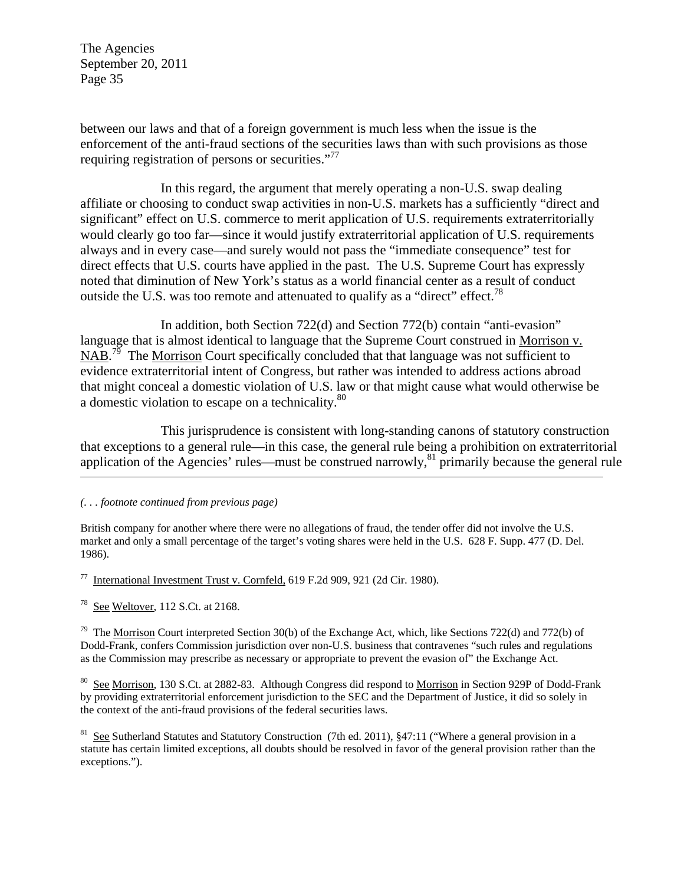between our laws and that of a foreign government is much less when the issue is the enforcement of the anti-fraud sections of the securities laws than with such provisions as those requiring registration of persons or securities."<sup>77</sup>

In this regard, the argument that merely operating a non-U.S. swap dealing affiliate or choosing to conduct swap activities in non-U.S. markets has a sufficiently "direct and significant" effect on U.S. commerce to merit application of U.S. requirements extraterritorially would clearly go too far—since it would justify extraterritorial application of U.S. requirements always and in every case—and surely would not pass the "immediate consequence" test for direct effects that U.S. courts have applied in the past. The U.S. Supreme Court has expressly noted that diminution of New York's status as a world financial center as a result of conduct outside the U.S. was too remote and attenuated to qualify as a "direct" effect.<sup>78</sup>

In addition, both Section 722(d) and Section 772(b) contain "anti-evasion" language that is almost identical to language that the Supreme Court construed in Morrison v.  $\overline{\text{NAB}}$ .<sup>79</sup> The Morrison Court specifically concluded that that language was not sufficient to evidence extraterritorial intent of Congress, but rather was intended to address actions abroad that might conceal a domestic violation of U.S. law or that might cause what would otherwise be a domestic violation to escape on a technicality.<sup>80</sup>

This jurisprudence is consistent with long-standing canons of statutory construction that exceptions to a general rule—in this case, the general rule being a prohibition on extraterritorial application of the Agencies' rules—must be construed narrowly,  $81$  primarily because the general rule

*(. . . footnote continued from previous page)* 

British company for another where there were no allegations of fraud, the tender offer did not involve the U.S. market and only a small percentage of the target's voting shares were held in the U.S. 628 F. Supp. 477 (D. Del. 1986).

International Investment Trust v. Cornfeld, 619 F.2d 909, 921 (2d Cir. 1980).

See Weltover, 112 S.Ct. at 2168.

<sup>79</sup> The Morrison Court interpreted Section 30(b) of the Exchange Act, which, like Sections 722(d) and 772(b) of Dodd-Frank, confers Commission jurisdiction over non-U.S. business that contravenes "such rules and regulations as the Commission may prescribe as necessary or appropriate to prevent the evasion of" the Exchange Act.

<sup>80</sup> See Morrison, 130 S.Ct. at 2882-83. Although Congress did respond to <u>Morrison</u> in Section 929P of Dodd-Frank by providing extraterritorial enforcement jurisdiction to the SEC and the Department of Justice, it did so solely in the context of the anti-fraud provisions of the federal securities laws.

<sup>81</sup> See Sutherland Statutes and Statutory Construction (7th ed. 2011), §47:11 ("Where a general provision in a statute has certain limited exceptions, all doubts should be resolved in favor of the general provision rather than the exceptions.").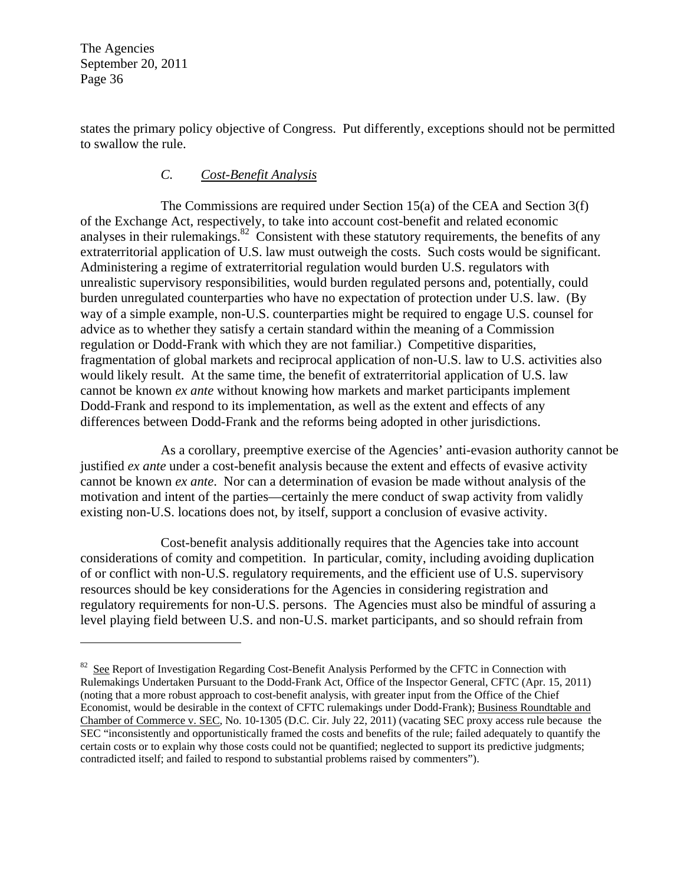$\overline{a}$ 

states the primary policy objective of Congress. Put differently, exceptions should not be permitted to swallow the rule.

## *C. Cost-Benefit Analysis*

The Commissions are required under Section 15(a) of the CEA and Section  $3(f)$ of the Exchange Act, respectively, to take into account cost-benefit and related economic analyses in their rulemakings. $82$  Consistent with these statutory requirements, the benefits of any extraterritorial application of U.S. law must outweigh the costs. Such costs would be significant. Administering a regime of extraterritorial regulation would burden U.S. regulators with unrealistic supervisory responsibilities, would burden regulated persons and, potentially, could burden unregulated counterparties who have no expectation of protection under U.S. law. (By way of a simple example, non-U.S. counterparties might be required to engage U.S. counsel for advice as to whether they satisfy a certain standard within the meaning of a Commission regulation or Dodd-Frank with which they are not familiar.) Competitive disparities, fragmentation of global markets and reciprocal application of non-U.S. law to U.S. activities also would likely result. At the same time, the benefit of extraterritorial application of U.S. law cannot be known *ex ante* without knowing how markets and market participants implement Dodd-Frank and respond to its implementation, as well as the extent and effects of any differences between Dodd-Frank and the reforms being adopted in other jurisdictions.

As a corollary, preemptive exercise of the Agencies' anti-evasion authority cannot be justified *ex ante* under a cost-benefit analysis because the extent and effects of evasive activity cannot be known *ex ante*. Nor can a determination of evasion be made without analysis of the motivation and intent of the parties—certainly the mere conduct of swap activity from validly existing non-U.S. locations does not, by itself, support a conclusion of evasive activity.

Cost-benefit analysis additionally requires that the Agencies take into account considerations of comity and competition. In particular, comity, including avoiding duplication of or conflict with non-U.S. regulatory requirements, and the efficient use of U.S. supervisory resources should be key considerations for the Agencies in considering registration and regulatory requirements for non-U.S. persons. The Agencies must also be mindful of assuring a level playing field between U.S. and non-U.S. market participants, and so should refrain from

<sup>&</sup>lt;sup>82</sup> See Report of Investigation Regarding Cost-Benefit Analysis Performed by the CFTC in Connection with Rulemakings Undertaken Pursuant to the Dodd-Frank Act, Office of the Inspector General, CFTC (Apr. 15, 2011) (noting that a more robust approach to cost-benefit analysis, with greater input from the Office of the Chief Economist, would be desirable in the context of CFTC rulemakings under Dodd-Frank); Business Roundtable and Chamber of Commerce v. SEC, No. 10-1305 (D.C. Cir. July 22, 2011) (vacating SEC proxy access rule because the SEC "inconsistently and opportunistically framed the costs and benefits of the rule; failed adequately to quantify the certain costs or to explain why those costs could not be quantified; neglected to support its predictive judgments; contradicted itself; and failed to respond to substantial problems raised by commenters").